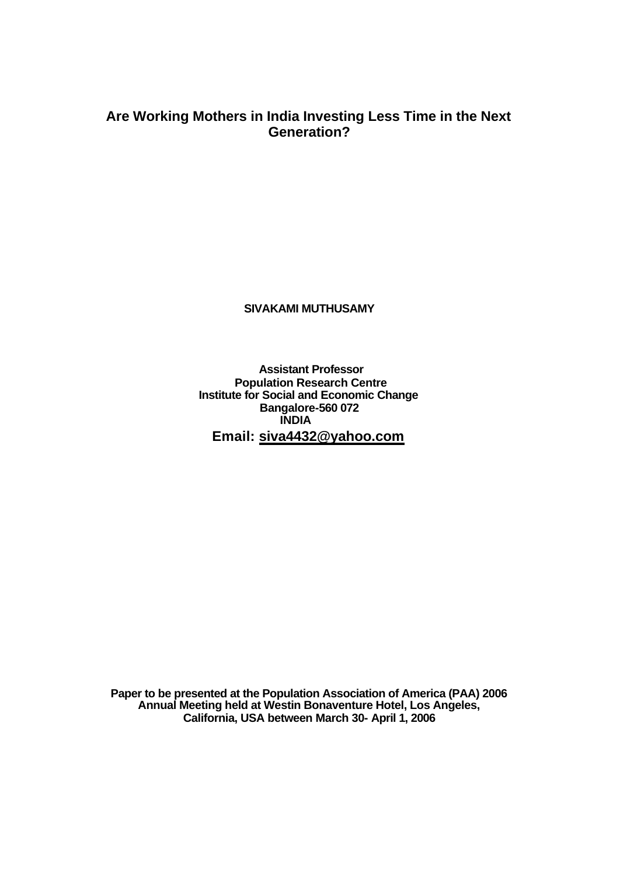# **Are Working Mothers in India Investing Less Time in the Next Generation?**

**SIVAKAMI MUTHUSAMY**

**Assistant Professor Population Research Centre Institute for Social and Economic Change Bangalore-560 072 INDIA Email: siva4432@yahoo.com**

**Paper to be presented at the Population Association of America (PAA) 2006 Annual Meeting held at Westin Bonaventure Hotel, Los Angeles, California, USA between March 30- April 1, 2006**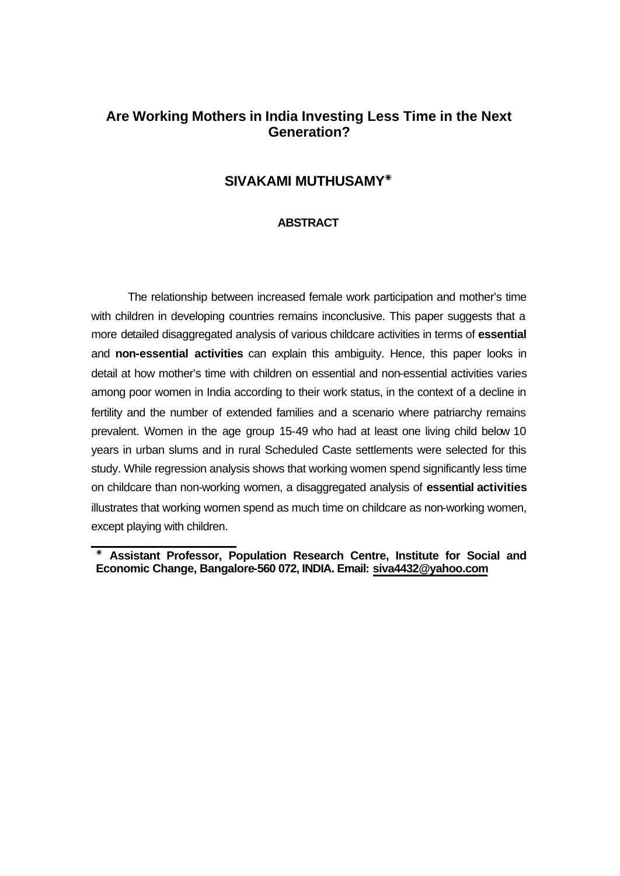# **Are Working Mothers in India Investing Less Time in the Next Generation?**

## **SIVAKAMI MUTHUSAMY<sup>T</sup>**

## **ABSTRACT**

The relationship between increased female work participation and mother's time with children in developing countries remains inconclusive. This paper suggests that a more detailed disaggregated analysis of various childcare activities in terms of **essential**  and **non-essential activities** can explain this ambiguity. Hence, this paper looks in detail at how mother's time with children on essential and non-essential activities varies among poor women in India according to their work status, in the context of a decline in fertility and the number of extended families and a scenario where patriarchy remains prevalent. Women in the age group 15-49 who had at least one living child below 10 years in urban slums and in rural Scheduled Caste settlements were selected for this study. While regression analysis shows that working women spend significantly less time on childcare than non-working women, a disaggregated analysis of **essential activities** illustrates that working women spend as much time on childcare as non-working women, except playing with children.

**TELEVIL 28**<br> **EXECUTE:** Assistant Professor, Population Research Centre, Institute for Social and **Economic Change, Bangalore-560 072, INDIA. Email: siva4432@yahoo.com**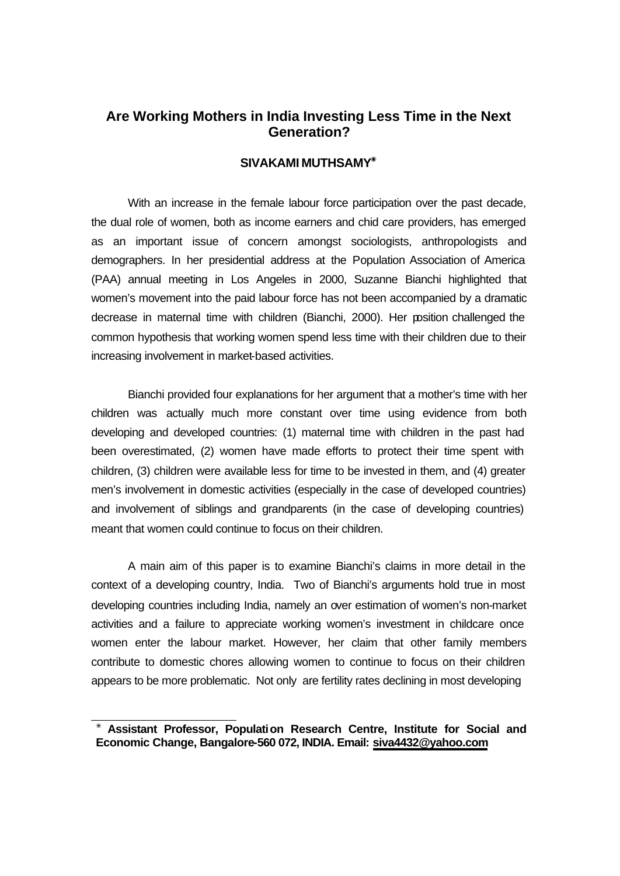# **Are Working Mothers in India Investing Less Time in the Next Generation?**

## SIVAKAMI MUTHSAMY<sup>\*</sup>

With an increase in the female labour force participation over the past decade, the dual role of women, both as income earners and chid care providers, has emerged as an important issue of concern amongst sociologists, anthropologists and demographers. In her presidential address at the Population Association of America (PAA) annual meeting in Los Angeles in 2000, Suzanne Bianchi highlighted that women's movement into the paid labour force has not been accompanied by a dramatic decrease in maternal time with children (Bianchi, 2000). Her position challenged the common hypothesis that working women spend less time with their children due to their increasing involvement in market-based activities.

Bianchi provided four explanations for her argument that a mother's time with her children was actually much more constant over time using evidence from both developing and developed countries: (1) maternal time with children in the past had been overestimated, (2) women have made efforts to protect their time spent with children, (3) children were available less for time to be invested in them, and (4) greater men's involvement in domestic activities (especially in the case of developed countries) and involvement of siblings and grandparents (in the case of developing countries) meant that women could continue to focus on their children.

A main aim of this paper is to examine Bianchi's claims in more detail in the context of a developing country, India. Two of Bianchi's arguments hold true in most developing countries including India, namely an over estimation of women's non-market activities and a failure to appreciate working women's investment in childcare once women enter the labour market. However, her claim that other family members contribute to domestic chores allowing women to continue to focus on their children appears to be more problematic. Not only are fertility rates declining in most developing

l <sup>T</sup> **Assistant Professor, Population Research Centre, Institute for Social and Economic Change, Bangalore-560 072, INDIA. Email: siva4432@yahoo.com**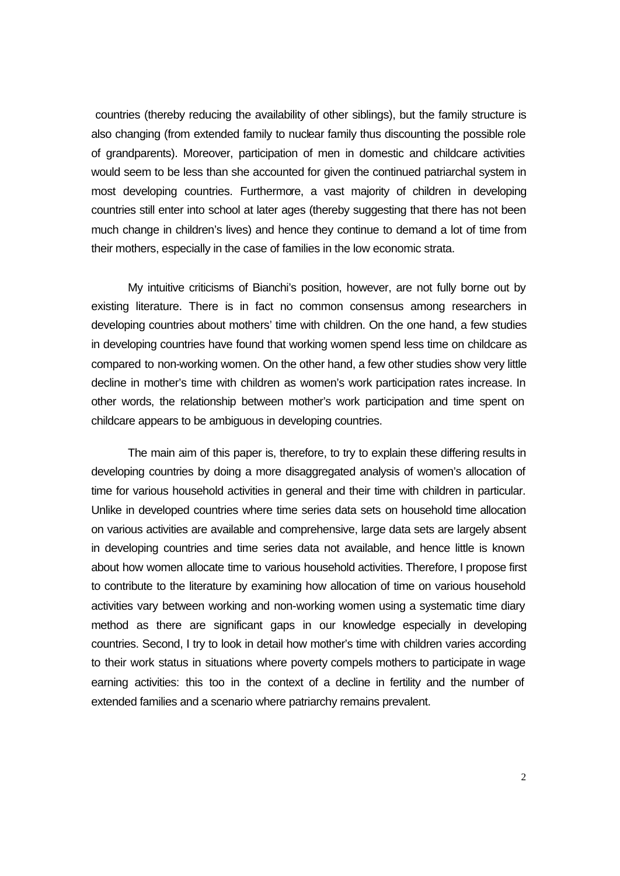countries (thereby reducing the availability of other siblings), but the family structure is also changing (from extended family to nuclear family thus discounting the possible role of grandparents). Moreover, participation of men in domestic and childcare activities would seem to be less than she accounted for given the continued patriarchal system in most developing countries. Furthermore, a vast majority of children in developing countries still enter into school at later ages (thereby suggesting that there has not been much change in children's lives) and hence they continue to demand a lot of time from their mothers, especially in the case of families in the low economic strata.

My intuitive criticisms of Bianchi's position, however, are not fully borne out by existing literature. There is in fact no common consensus among researchers in developing countries about mothers' time with children. On the one hand, a few studies in developing countries have found that working women spend less time on childcare as compared to non-working women. On the other hand, a few other studies show very little decline in mother's time with children as women's work participation rates increase. In other words, the relationship between mother's work participation and time spent on childcare appears to be ambiguous in developing countries.

The main aim of this paper is, therefore, to try to explain these differing results in developing countries by doing a more disaggregated analysis of women's allocation of time for various household activities in general and their time with children in particular. Unlike in developed countries where time series data sets on household time allocation on various activities are available and comprehensive, large data sets are largely absent in developing countries and time series data not available, and hence little is known about how women allocate time to various household activities. Therefore, I propose first to contribute to the literature by examining how allocation of time on various household activities vary between working and non-working women using a systematic time diary method as there are significant gaps in our knowledge especially in developing countries. Second, I try to look in detail how mother's time with children varies according to their work status in situations where poverty compels mothers to participate in wage earning activities: this too in the context of a decline in fertility and the number of extended families and a scenario where patriarchy remains prevalent.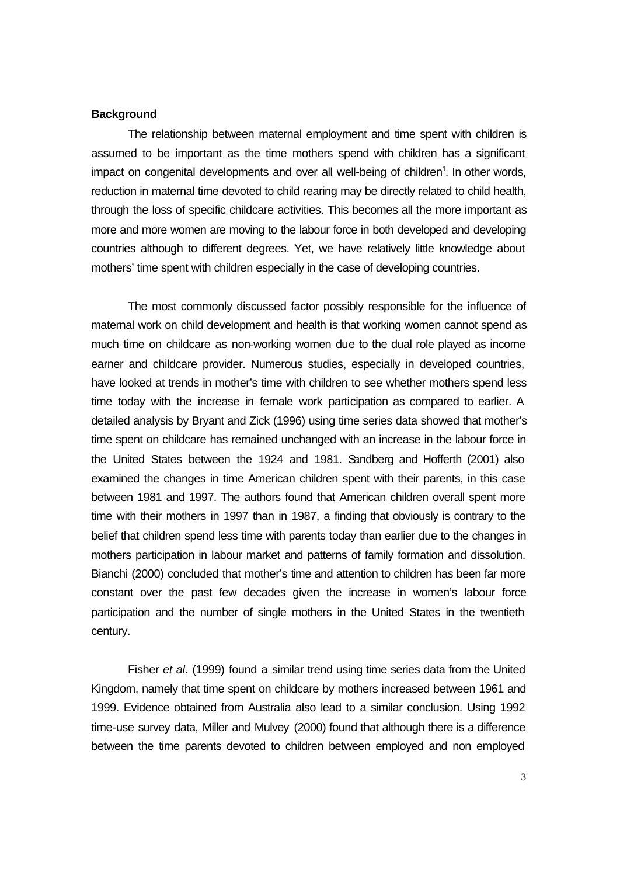## **Background**

The relationship between maternal employment and time spent with children is assumed to be important as the time mothers spend with children has a significant impact on congenital developments and over all well-being of children<sup>1</sup>. In other words, reduction in maternal time devoted to child rearing may be directly related to child health, through the loss of specific childcare activities. This becomes all the more important as more and more women are moving to the labour force in both developed and developing countries although to different degrees. Yet, we have relatively little knowledge about mothers' time spent with children especially in the case of developing countries.

The most commonly discussed factor possibly responsible for the influence of maternal work on child development and health is that working women cannot spend as much time on childcare as non-working women due to the dual role played as income earner and childcare provider. Numerous studies, especially in developed countries, have looked at trends in mother's time with children to see whether mothers spend less time today with the increase in female work participation as compared to earlier. A detailed analysis by Bryant and Zick (1996) using time series data showed that mother's time spent on childcare has remained unchanged with an increase in the labour force in the United States between the 1924 and 1981. Sandberg and Hofferth (2001) also examined the changes in time American children spent with their parents, in this case between 1981 and 1997. The authors found that American children overall spent more time with their mothers in 1997 than in 1987, a finding that obviously is contrary to the belief that children spend less time with parents today than earlier due to the changes in mothers participation in labour market and patterns of family formation and dissolution. Bianchi (2000) concluded that mother's time and attention to children has been far more constant over the past few decades given the increase in women's labour force participation and the number of single mothers in the United States in the twentieth century.

Fisher *et al*. (1999) found a similar trend using time series data from the United Kingdom, namely that time spent on childcare by mothers increased between 1961 and 1999. Evidence obtained from Australia also lead to a similar conclusion. Using 1992 time-use survey data, Miller and Mulvey (2000) found that although there is a difference between the time parents devoted to children between employed and non employed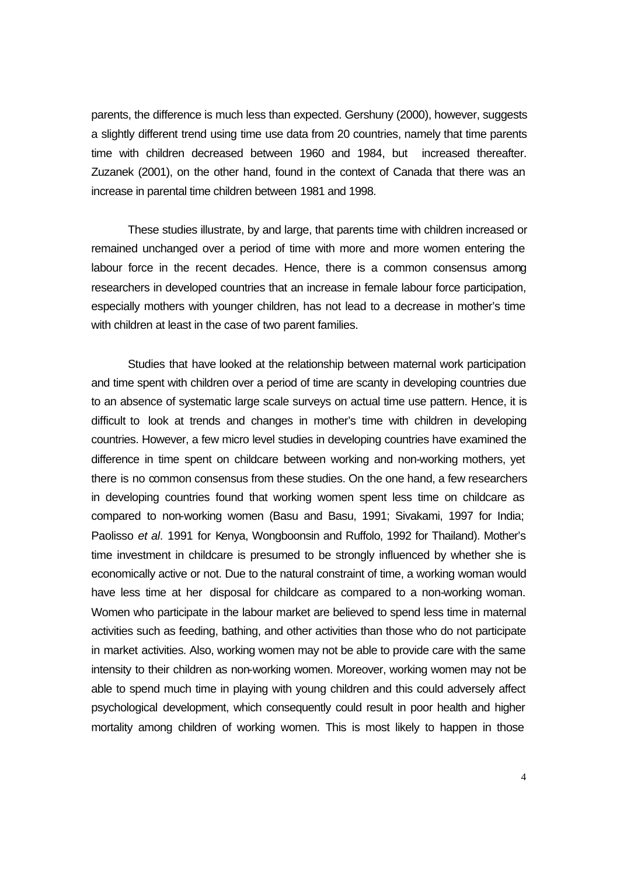parents, the difference is much less than expected. Gershuny (2000), however, suggests a slightly different trend using time use data from 20 countries, namely that time parents time with children decreased between 1960 and 1984, but increased thereafter. Zuzanek (2001), on the other hand, found in the context of Canada that there was an increase in parental time children between 1981 and 1998.

These studies illustrate, by and large, that parents time with children increased or remained unchanged over a period of time with more and more women entering the labour force in the recent decades. Hence, there is a common consensus among researchers in developed countries that an increase in female labour force participation, especially mothers with younger children, has not lead to a decrease in mother's time with children at least in the case of two parent families.

Studies that have looked at the relationship between maternal work participation and time spent with children over a period of time are scanty in developing countries due to an absence of systematic large scale surveys on actual time use pattern. Hence, it is difficult to look at trends and changes in mother's time with children in developing countries. However, a few micro level studies in developing countries have examined the difference in time spent on childcare between working and non-working mothers, yet there is no common consensus from these studies. On the one hand, a few researchers in developing countries found that working women spent less time on childcare as compared to non-working women (Basu and Basu, 1991; Sivakami, 1997 for India; Paolisso *et al*. 1991 for Kenya, Wongboonsin and Ruffolo, 1992 for Thailand). Mother's time investment in childcare is presumed to be strongly influenced by whether she is economically active or not. Due to the natural constraint of time, a working woman would have less time at her disposal for childcare as compared to a non-working woman. Women who participate in the labour market are believed to spend less time in maternal activities such as feeding, bathing, and other activities than those who do not participate in market activities. Also, working women may not be able to provide care with the same intensity to their children as non-working women. Moreover, working women may not be able to spend much time in playing with young children and this could adversely affect psychological development, which consequently could result in poor health and higher mortality among children of working women. This is most likely to happen in those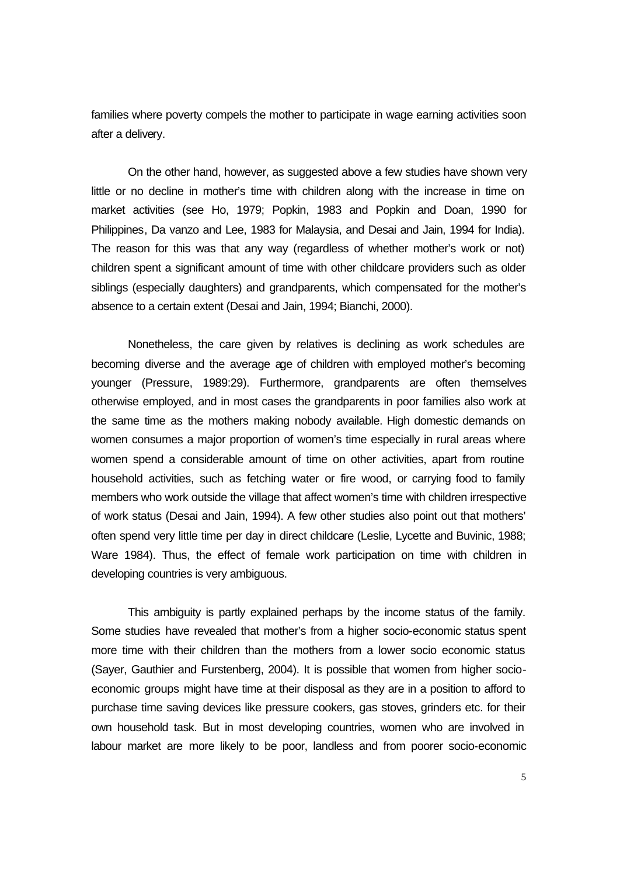families where poverty compels the mother to participate in wage earning activities soon after a delivery.

On the other hand, however, as suggested above a few studies have shown very little or no decline in mother's time with children along with the increase in time on market activities (see Ho, 1979; Popkin, 1983 and Popkin and Doan, 1990 for Philippines, Da vanzo and Lee, 1983 for Malaysia, and Desai and Jain, 1994 for India). The reason for this was that any way (regardless of whether mother's work or not) children spent a significant amount of time with other childcare providers such as older siblings (especially daughters) and grandparents, which compensated for the mother's absence to a certain extent (Desai and Jain, 1994; Bianchi, 2000).

Nonetheless, the care given by relatives is declining as work schedules are becoming diverse and the average age of children with employed mother's becoming younger (Pressure, 1989:29). Furthermore, grandparents are often themselves otherwise employed, and in most cases the grandparents in poor families also work at the same time as the mothers making nobody available. High domestic demands on women consumes a major proportion of women's time especially in rural areas where women spend a considerable amount of time on other activities, apart from routine household activities, such as fetching water or fire wood, or carrying food to family members who work outside the village that affect women's time with children irrespective of work status (Desai and Jain, 1994). A few other studies also point out that mothers' often spend very little time per day in direct childcare (Leslie, Lycette and Buvinic, 1988; Ware 1984). Thus, the effect of female work participation on time with children in developing countries is very ambiguous.

This ambiguity is partly explained perhaps by the income status of the family. Some studies have revealed that mother's from a higher socio-economic status spent more time with their children than the mothers from a lower socio economic status (Sayer, Gauthier and Furstenberg, 2004). It is possible that women from higher socioeconomic groups might have time at their disposal as they are in a position to afford to purchase time saving devices like pressure cookers, gas stoves, grinders etc. for their own household task. But in most developing countries, women who are involved in labour market are more likely to be poor, landless and from poorer socio-economic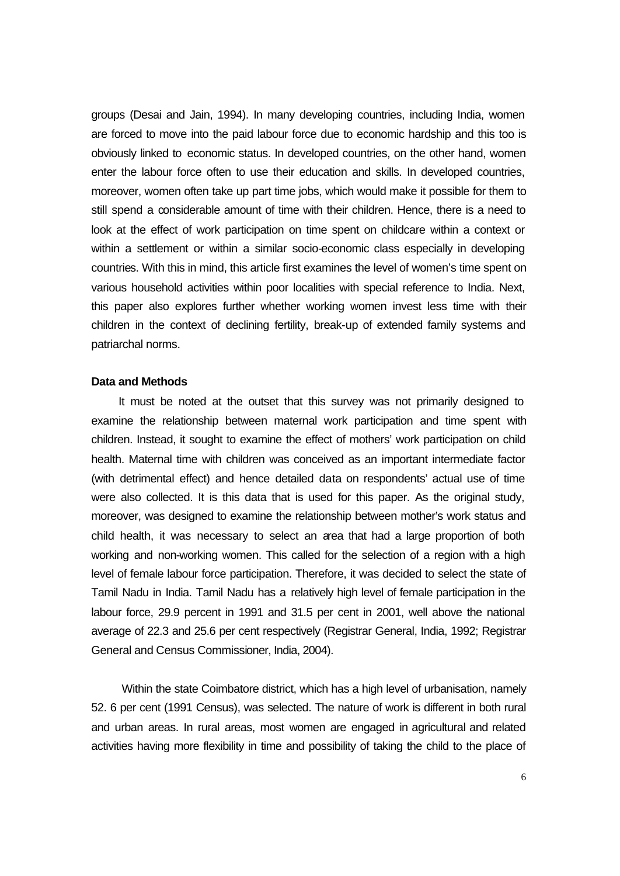groups (Desai and Jain, 1994). In many developing countries, including India, women are forced to move into the paid labour force due to economic hardship and this too is obviously linked to economic status. In developed countries, on the other hand, women enter the labour force often to use their education and skills. In developed countries, moreover, women often take up part time jobs, which would make it possible for them to still spend a considerable amount of time with their children. Hence, there is a need to look at the effect of work participation on time spent on childcare within a context or within a settlement or within a similar socio-economic class especially in developing countries. With this in mind, this article first examines the level of women's time spent on various household activities within poor localities with special reference to India. Next, this paper also explores further whether working women invest less time with their children in the context of declining fertility, break-up of extended family systems and patriarchal norms.

## **Data and Methods**

It must be noted at the outset that this survey was not primarily designed to examine the relationship between maternal work participation and time spent with children. Instead, it sought to examine the effect of mothers' work participation on child health. Maternal time with children was conceived as an important intermediate factor (with detrimental effect) and hence detailed data on respondents' actual use of time were also collected. It is this data that is used for this paper. As the original study, moreover, was designed to examine the relationship between mother's work status and child health, it was necessary to select an area that had a large proportion of both working and non-working women. This called for the selection of a region with a high level of female labour force participation. Therefore, it was decided to select the state of Tamil Nadu in India. Tamil Nadu has a relatively high level of female participation in the labour force, 29.9 percent in 1991 and 31.5 per cent in 2001, well above the national average of 22.3 and 25.6 per cent respectively (Registrar General, India, 1992; Registrar General and Census Commissioner, India, 2004).

 Within the state Coimbatore district, which has a high level of urbanisation, namely 52. 6 per cent (1991 Census), was selected. The nature of work is different in both rural and urban areas. In rural areas, most women are engaged in agricultural and related activities having more flexibility in time and possibility of taking the child to the place of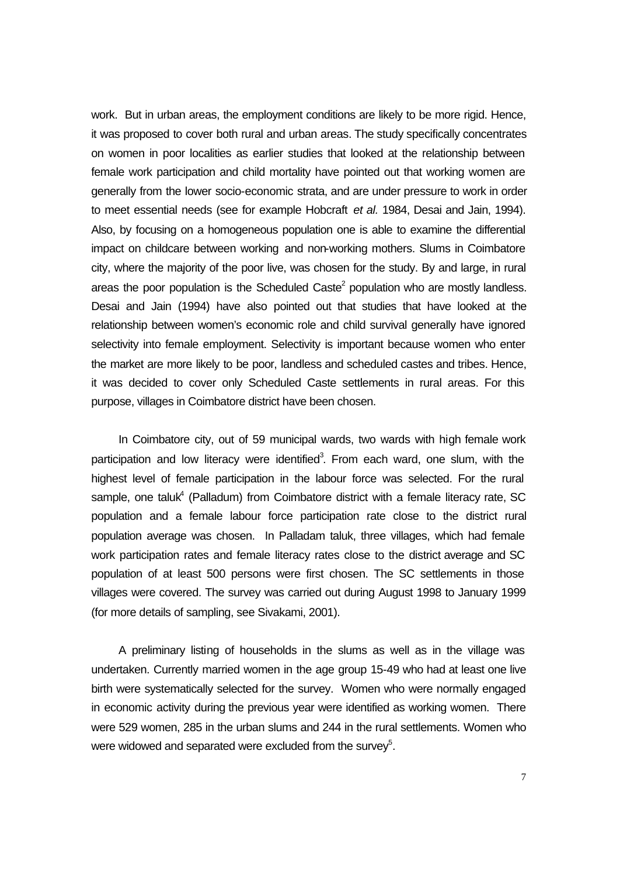work. But in urban areas, the employment conditions are likely to be more rigid. Hence, it was proposed to cover both rural and urban areas. The study specifically concentrates on women in poor localities as earlier studies that looked at the relationship between female work participation and child mortality have pointed out that working women are generally from the lower socio-economic strata, and are under pressure to work in order to meet essential needs (see for example Hobcraft *et al.* 1984, Desai and Jain, 1994). Also, by focusing on a homogeneous population one is able to examine the differential impact on childcare between working and non-working mothers. Slums in Coimbatore city, where the majority of the poor live, was chosen for the study. By and large, in rural areas the poor population is the Scheduled Caste<sup>2</sup> population who are mostly landless. Desai and Jain (1994) have also pointed out that studies that have looked at the relationship between women's economic role and child survival generally have ignored selectivity into female employment. Selectivity is important because women who enter the market are more likely to be poor, landless and scheduled castes and tribes. Hence, it was decided to cover only Scheduled Caste settlements in rural areas. For this purpose, villages in Coimbatore district have been chosen.

In Coimbatore city, out of 59 municipal wards, two wards with high female work participation and low literacy were identified<sup>3</sup>. From each ward, one slum, with the highest level of female participation in the labour force was selected. For the rural sample, one taluk<sup>4</sup> (Palladum) from Coimbatore district with a female literacy rate, SC population and a female labour force participation rate close to the district rural population average was chosen. In Palladam taluk, three villages, which had female work participation rates and female literacy rates close to the district average and SC population of at least 500 persons were first chosen. The SC settlements in those villages were covered. The survey was carried out during August 1998 to January 1999 (for more details of sampling, see Sivakami, 2001).

A preliminary listing of households in the slums as well as in the village was undertaken. Currently married women in the age group 15-49 who had at least one live birth were systematically selected for the survey. Women who were normally engaged in economic activity during the previous year were identified as working women. There were 529 women, 285 in the urban slums and 244 in the rural settlements. Women who were widowed and separated were excluded from the survey $5$ .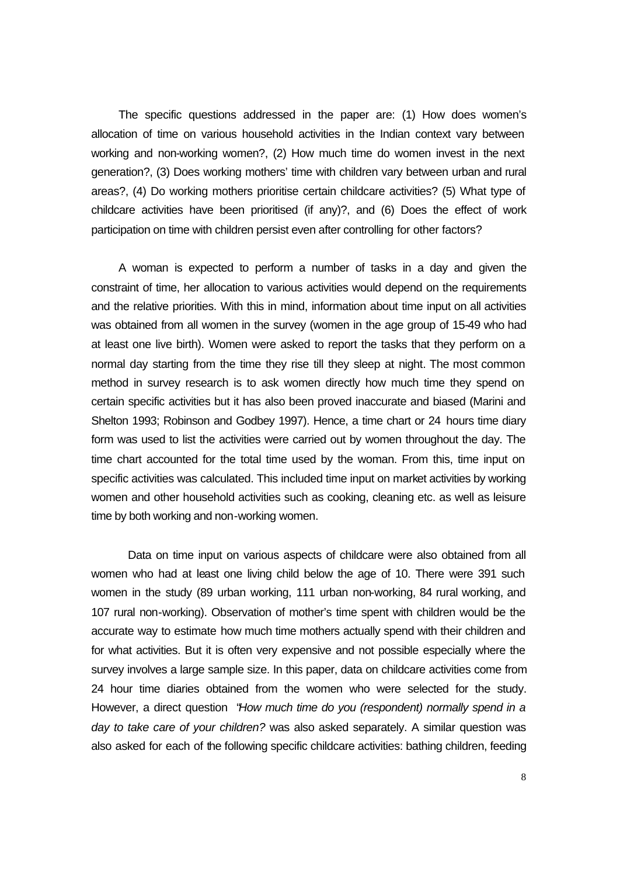The specific questions addressed in the paper are: (1) How does women's allocation of time on various household activities in the Indian context vary between working and non-working women?, (2) How much time do women invest in the next generation?, (3) Does working mothers' time with children vary between urban and rural areas?, (4) Do working mothers prioritise certain childcare activities? (5) What type of childcare activities have been prioritised (if any)?, and (6) Does the effect of work participation on time with children persist even after controlling for other factors?

A woman is expected to perform a number of tasks in a day and given the constraint of time, her allocation to various activities would depend on the requirements and the relative priorities. With this in mind, information about time input on all activities was obtained from all women in the survey (women in the age group of 15-49 who had at least one live birth). Women were asked to report the tasks that they perform on a normal day starting from the time they rise till they sleep at night. The most common method in survey research is to ask women directly how much time they spend on certain specific activities but it has also been proved inaccurate and biased (Marini and Shelton 1993; Robinson and Godbey 1997). Hence, a time chart or 24 hours time diary form was used to list the activities were carried out by women throughout the day. The time chart accounted for the total time used by the woman. From this, time input on specific activities was calculated. This included time input on market activities by working women and other household activities such as cooking, cleaning etc. as well as leisure time by both working and non-working women.

Data on time input on various aspects of childcare were also obtained from all women who had at least one living child below the age of 10. There were 391 such women in the study (89 urban working, 111 urban non-working, 84 rural working, and 107 rural non-working). Observation of mother's time spent with children would be the accurate way to estimate how much time mothers actually spend with their children and for what activities. But it is often very expensive and not possible especially where the survey involves a large sample size. In this paper, data on childcare activities come from 24 hour time diaries obtained from the women who were selected for the study. However, a direct question "*How much time do you (respondent) normally spend in a day to take care of your children?* was also asked separately. A similar question was also asked for each of the following specific childcare activities: bathing children, feeding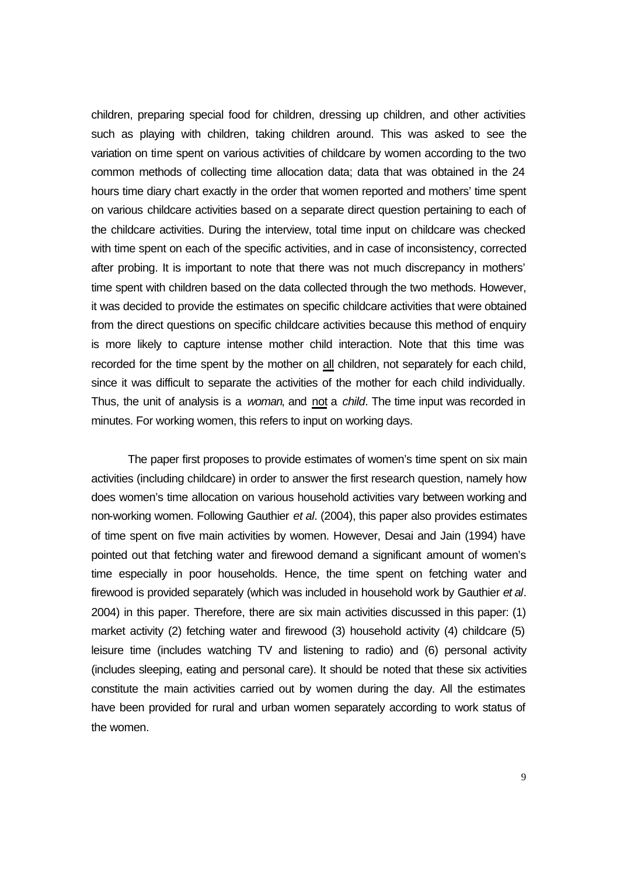children, preparing special food for children, dressing up children, and other activities such as playing with children, taking children around. This was asked to see the variation on time spent on various activities of childcare by women according to the two common methods of collecting time allocation data; data that was obtained in the 24 hours time diary chart exactly in the order that women reported and mothers' time spent on various childcare activities based on a separate direct question pertaining to each of the childcare activities. During the interview, total time input on childcare was checked with time spent on each of the specific activities, and in case of inconsistency, corrected after probing. It is important to note that there was not much discrepancy in mothers' time spent with children based on the data collected through the two methods. However, it was decided to provide the estimates on specific childcare activities that were obtained from the direct questions on specific childcare activities because this method of enquiry is more likely to capture intense mother child interaction. Note that this time was recorded for the time spent by the mother on all children, not separately for each child, since it was difficult to separate the activities of the mother for each child individually. Thus, the unit of analysis is a *woman*, and not a *child*. The time input was recorded in minutes. For working women, this refers to input on working days.

The paper first proposes to provide estimates of women's time spent on six main activities (including childcare) in order to answer the first research question, namely how does women's time allocation on various household activities vary between working and non-working women. Following Gauthier *et al*. (2004), this paper also provides estimates of time spent on five main activities by women. However, Desai and Jain (1994) have pointed out that fetching water and firewood demand a significant amount of women's time especially in poor households. Hence, the time spent on fetching water and firewood is provided separately (which was included in household work by Gauthier *et al*. 2004) in this paper. Therefore, there are six main activities discussed in this paper: (1) market activity (2) fetching water and firewood (3) household activity (4) childcare (5) leisure time (includes watching TV and listening to radio) and (6) personal activity (includes sleeping, eating and personal care). It should be noted that these six activities constitute the main activities carried out by women during the day. All the estimates have been provided for rural and urban women separately according to work status of the women.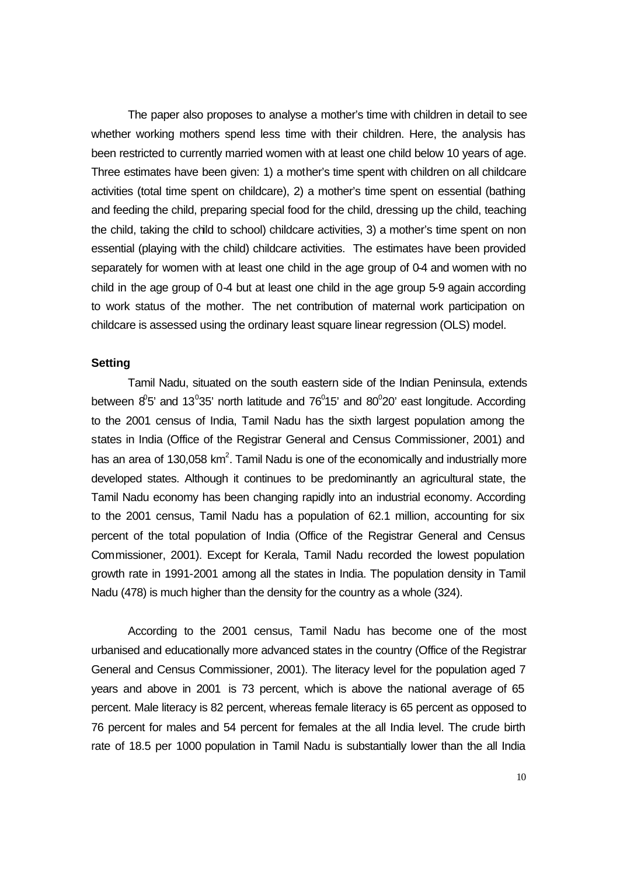The paper also proposes to analyse a mother's time with children in detail to see whether working mothers spend less time with their children. Here, the analysis has been restricted to currently married women with at least one child below 10 years of age. Three estimates have been given: 1) a mother's time spent with children on all childcare activities (total time spent on childcare), 2) a mother's time spent on essential (bathing and feeding the child, preparing special food for the child, dressing up the child, teaching the child, taking the child to school) childcare activities, 3) a mother's time spent on non essential (playing with the child) childcare activities. The estimates have been provided separately for women with at least one child in the age group of 0-4 and women with no child in the age group of 0-4 but at least one child in the age group 5-9 again according to work status of the mother. The net contribution of maternal work participation on childcare is assessed using the ordinary least square linear regression (OLS) model.

## **Setting**

Tamil Nadu, situated on the south eastern side of the Indian Peninsula, extends between  $8^0$ 5' and 13<sup>0</sup>35' north latitude and 76<sup>0</sup>15' and 80<sup>0</sup>20' east longitude. According to the 2001 census of India, Tamil Nadu has the sixth largest population among the states in India (Office of the Registrar General and Census Commissioner, 2001) and has an area of 130,058 km<sup>2</sup>. Tamil Nadu is one of the economically and industrially more developed states. Although it continues to be predominantly an agricultural state, the Tamil Nadu economy has been changing rapidly into an industrial economy. According to the 2001 census, Tamil Nadu has a population of 62.1 million, accounting for six percent of the total population of India (Office of the Registrar General and Census Commissioner, 2001). Except for Kerala, Tamil Nadu recorded the lowest population growth rate in 1991-2001 among all the states in India. The population density in Tamil Nadu (478) is much higher than the density for the country as a whole (324).

According to the 2001 census, Tamil Nadu has become one of the most urbanised and educationally more advanced states in the country (Office of the Registrar General and Census Commissioner, 2001). The literacy level for the population aged 7 years and above in 2001 is 73 percent, which is above the national average of 65 percent. Male literacy is 82 percent, whereas female literacy is 65 percent as opposed to 76 percent for males and 54 percent for females at the all India level. The crude birth rate of 18.5 per 1000 population in Tamil Nadu is substantially lower than the all India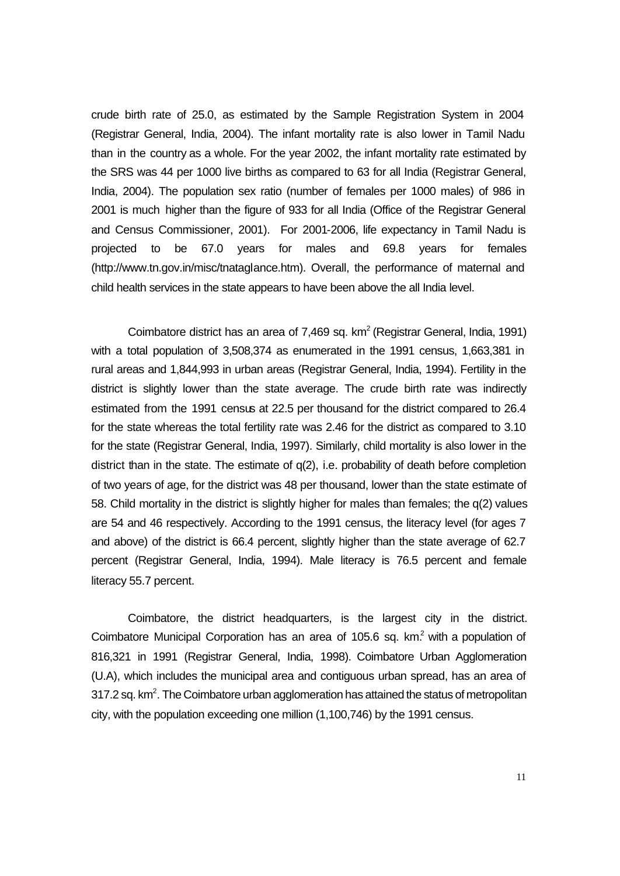crude birth rate of 25.0, as estimated by the Sample Registration System in 2004 (Registrar General, India, 2004). The infant mortality rate is also lower in Tamil Nadu than in the country as a whole. For the year 2002, the infant mortality rate estimated by the SRS was 44 per 1000 live births as compared to 63 for all India (Registrar General, India, 2004). The population sex ratio (number of females per 1000 males) of 986 in 2001 is much higher than the figure of 933 for all India (Office of the Registrar General and Census Commissioner, 2001). For 2001-2006, life expectancy in Tamil Nadu is projected to be 67.0 years for males and 69.8 years for females (http://www.tn.gov.in/misc/tnataglance.htm). Overall, the performance of maternal and child health services in the state appears to have been above the all India level.

Coimbatore district has an area of 7,469 sq.  $km^2$  (Registrar General, India, 1991) with a total population of 3,508,374 as enumerated in the 1991 census, 1,663,381 in rural areas and 1,844,993 in urban areas (Registrar General, India, 1994). Fertility in the district is slightly lower than the state average. The crude birth rate was indirectly estimated from the 1991 census at 22.5 per thousand for the district compared to 26.4 for the state whereas the total fertility rate was 2.46 for the district as compared to 3.10 for the state (Registrar General, India, 1997). Similarly, child mortality is also lower in the district than in the state. The estimate of q(2), i.e. probability of death before completion of two years of age, for the district was 48 per thousand, lower than the state estimate of 58. Child mortality in the district is slightly higher for males than females; the q(2) values are 54 and 46 respectively. According to the 1991 census, the literacy level (for ages 7 and above) of the district is 66.4 percent, slightly higher than the state average of 62.7 percent (Registrar General, India, 1994). Male literacy is 76.5 percent and female literacy 55.7 percent.

Coimbatore, the district headquarters, is the largest city in the district. Coimbatore Municipal Corporation has an area of 105.6 sq. km.<sup>2</sup> with a population of 816,321 in 1991 (Registrar General, India, 1998). Coimbatore Urban Agglomeration (U.A), which includes the municipal area and contiguous urban spread, has an area of 317.2 sq.  $km<sup>2</sup>$ . The Coimbatore urban agglomeration has attained the status of metropolitan city, with the population exceeding one million (1,100,746) by the 1991 census.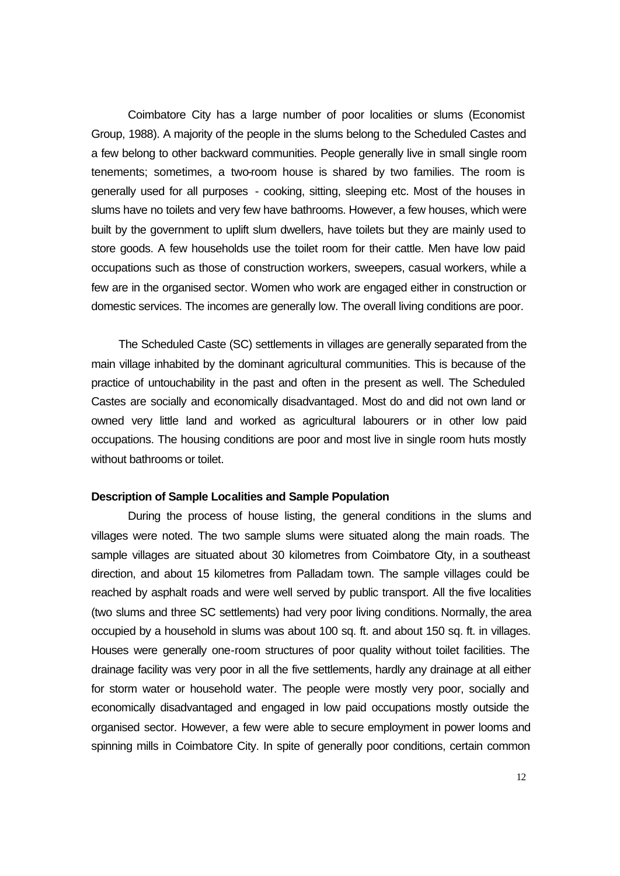Coimbatore City has a large number of poor localities or slums (Economist Group, 1988). A majority of the people in the slums belong to the Scheduled Castes and a few belong to other backward communities. People generally live in small single room tenements; sometimes, a two-room house is shared by two families. The room is generally used for all purposes - cooking, sitting, sleeping etc. Most of the houses in slums have no toilets and very few have bathrooms. However, a few houses, which were built by the government to uplift slum dwellers, have toilets but they are mainly used to store goods. A few households use the toilet room for their cattle. Men have low paid occupations such as those of construction workers, sweepers, casual workers, while a few are in the organised sector. Women who work are engaged either in construction or domestic services. The incomes are generally low. The overall living conditions are poor.

The Scheduled Caste (SC) settlements in villages are generally separated from the main village inhabited by the dominant agricultural communities. This is because of the practice of untouchability in the past and often in the present as well. The Scheduled Castes are socially and economically disadvantaged. Most do and did not own land or owned very little land and worked as agricultural labourers or in other low paid occupations. The housing conditions are poor and most live in single room huts mostly without bathrooms or toilet.

## **Description of Sample Localities and Sample Population**

During the process of house listing, the general conditions in the slums and villages were noted. The two sample slums were situated along the main roads. The sample villages are situated about 30 kilometres from Coimbatore City, in a southeast direction, and about 15 kilometres from Palladam town. The sample villages could be reached by asphalt roads and were well served by public transport. All the five localities (two slums and three SC settlements) had very poor living conditions. Normally, the area occupied by a household in slums was about 100 sq. ft. and about 150 sq. ft. in villages. Houses were generally one-room structures of poor quality without toilet facilities. The drainage facility was very poor in all the five settlements, hardly any drainage at all either for storm water or household water. The people were mostly very poor, socially and economically disadvantaged and engaged in low paid occupations mostly outside the organised sector. However, a few were able to secure employment in power looms and spinning mills in Coimbatore City. In spite of generally poor conditions, certain common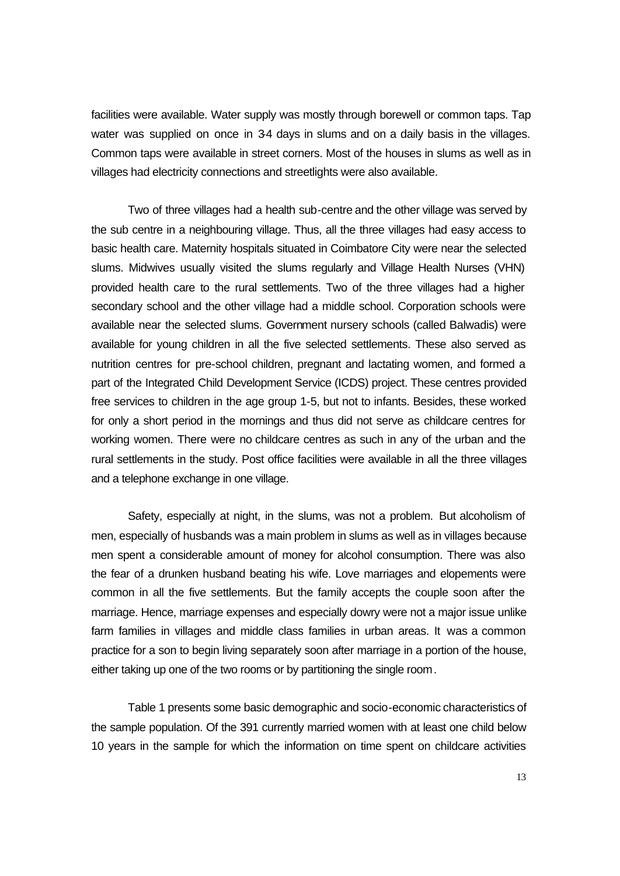facilities were available. Water supply was mostly through borewell or common taps. Tap water was supplied on once in 34 days in slums and on a daily basis in the villages. Common taps were available in street corners. Most of the houses in slums as well as in villages had electricity connections and streetlights were also available.

Two of three villages had a health sub-centre and the other village was served by the sub centre in a neighbouring village. Thus, all the three villages had easy access to basic health care. Maternity hospitals situated in Coimbatore City were near the selected slums. Midwives usually visited the slums regularly and Village Health Nurses (VHN) provided health care to the rural settlements. Two of the three villages had a higher secondary school and the other village had a middle school. Corporation schools were available near the selected slums. Government nursery schools (called Balwadis) were available for young children in all the five selected settlements. These also served as nutrition centres for pre-school children, pregnant and lactating women, and formed a part of the Integrated Child Development Service (ICDS) project. These centres provided free services to children in the age group 1-5, but not to infants. Besides, these worked for only a short period in the mornings and thus did not serve as childcare centres for working women. There were no childcare centres as such in any of the urban and the rural settlements in the study. Post office facilities were available in all the three villages and a telephone exchange in one village.

Safety, especially at night, in the slums, was not a problem. But alcoholism of men, especially of husbands was a main problem in slums as well as in villages because men spent a considerable amount of money for alcohol consumption. There was also the fear of a drunken husband beating his wife. Love marriages and elopements were common in all the five settlements. But the family accepts the couple soon after the marriage. Hence, marriage expenses and especially dowry were not a major issue unlike farm families in villages and middle class families in urban areas. It was a common practice for a son to begin living separately soon after marriage in a portion of the house, either taking up one of the two rooms or by partitioning the single room.

Table 1 presents some basic demographic and socio-economic characteristics of the sample population. Of the 391 currently married women with at least one child below 10 years in the sample for which the information on time spent on childcare activities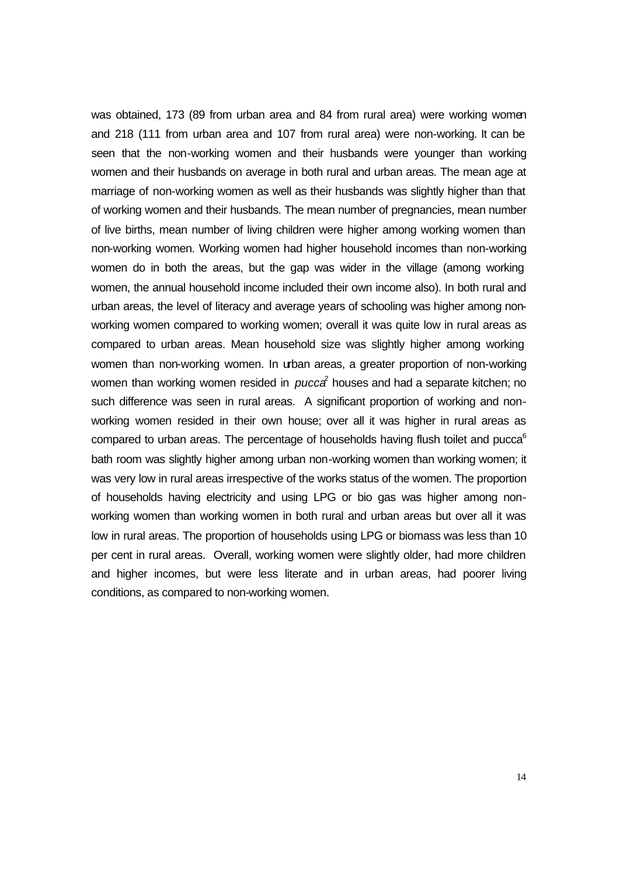was obtained, 173 (89 from urban area and 84 from rural area) were working women and 218 (111 from urban area and 107 from rural area) were non-working. It can be seen that the non-working women and their husbands were younger than working women and their husbands on average in both rural and urban areas. The mean age at marriage of non-working women as well as their husbands was slightly higher than that of working women and their husbands. The mean number of pregnancies, mean number of live births, mean number of living children were higher among working women than non-working women. Working women had higher household incomes than non-working women do in both the areas, but the gap was wider in the village (among working women, the annual household income included their own income also). In both rural and urban areas, the level of literacy and average years of schooling was higher among nonworking women compared to working women; overall it was quite low in rural areas as compared to urban areas. Mean household size was slightly higher among working women than non-working women. In urban areas, a greater proportion of non-working women than working women resided in *pucca*<sup>2</sup> houses and had a separate kitchen; no such difference was seen in rural areas. A significant proportion of working and nonworking women resided in their own house; over all it was higher in rural areas as compared to urban areas. The percentage of households having flush toilet and pucca<sup>6</sup> bath room was slightly higher among urban non-working women than working women; it was very low in rural areas irrespective of the works status of the women. The proportion of households having electricity and using LPG or bio gas was higher among nonworking women than working women in both rural and urban areas but over all it was low in rural areas. The proportion of households using LPG or biomass was less than 10 per cent in rural areas. Overall, working women were slightly older, had more children and higher incomes, but were less literate and in urban areas, had poorer living conditions, as compared to non-working women.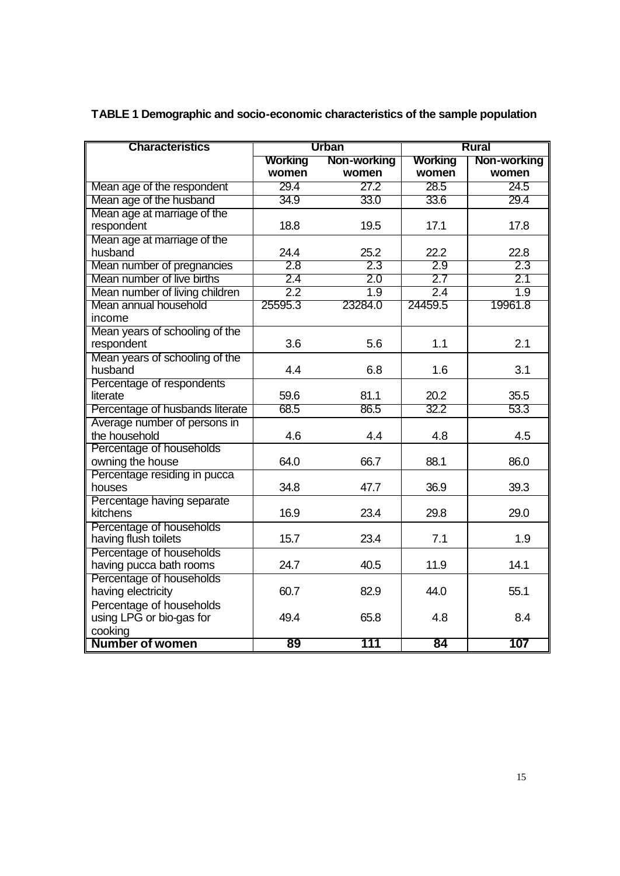| <b>Characteristics</b>          |                               | <b>Urban</b>     | <b>Rural</b> |             |  |
|---------------------------------|-------------------------------|------------------|--------------|-------------|--|
|                                 | <b>Working</b><br>Non-working |                  | Working      | Non-working |  |
|                                 | women                         | women            | women        | women       |  |
| Mean age of the respondent      | 29.4                          | 27.2             | 28.5         | 24.5        |  |
| Mean age of the husband         | 34.9                          | 33.0             | 33.6         | 29.4        |  |
| Mean age at marriage of the     |                               |                  |              |             |  |
| respondent                      | 18.8                          | 19.5             | 17.1         | 17.8        |  |
| Mean age at marriage of the     |                               |                  |              |             |  |
| husband                         | 24.4                          | 25.2             | 22.2         | 22.8        |  |
| Mean number of pregnancies      | 2.8                           | 2.3              | 2.9          | 2.3         |  |
| Mean number of live births      | 2.4                           | 2.0              | 2.7          | 2.1         |  |
| Mean number of living children  | 2.2                           | $\overline{1.9}$ | 2.4          | 1.9         |  |
| Mean annual household           | 25595.3                       | 23284.0          | 24459.5      | 19961.8     |  |
| income                          |                               |                  |              |             |  |
| Mean years of schooling of the  |                               |                  |              |             |  |
| respondent                      | 3.6                           | 5.6              | 1.1          | 2.1         |  |
| Mean years of schooling of the  |                               |                  |              |             |  |
| husband                         | 4.4                           | 6.8              | 1.6          | 3.1         |  |
| Percentage of respondents       |                               |                  |              |             |  |
| literate                        | 59.6                          | 81.1             | 20.2         | 35.5        |  |
| Percentage of husbands literate | 68.5                          | 86.5             | 32.2         | 53.3        |  |
| Average number of persons in    |                               |                  |              |             |  |
| the household                   | 4.6                           | 4.4              | 4.8          | 4.5         |  |
| Percentage of households        |                               |                  |              |             |  |
| owning the house                | 64.0                          | 66.7             | 88.1         | 86.0        |  |
| Percentage residing in pucca    |                               |                  |              |             |  |
| houses                          | 34.8                          | 47.7             | 36.9         | 39.3        |  |
| Percentage having separate      |                               |                  |              |             |  |
| kitchens                        | 16.9                          | 23.4             | 29.8         | 29.0        |  |
| Percentage of households        |                               |                  |              |             |  |
| having flush toilets            | 15.7                          | 23.4             | 7.1          | 1.9         |  |
| Percentage of households        |                               |                  |              |             |  |
| having pucca bath rooms         | 24.7                          | 40.5             | 11.9         | 14.1        |  |
| Percentage of households        |                               |                  |              |             |  |
| having electricity              | 60.7                          | 82.9             | 44.0         | 55.1        |  |
| Percentage of households        |                               |                  |              |             |  |
| using LPG or bio-gas for        | 49.4                          | 65.8             | 4.8          | 8.4         |  |
| cooking                         |                               |                  |              |             |  |
| <b>Number of women</b>          | 89                            | 111              | 84           | 107         |  |

**TABLE 1 Demographic and socio-economic characteristics of the sample population**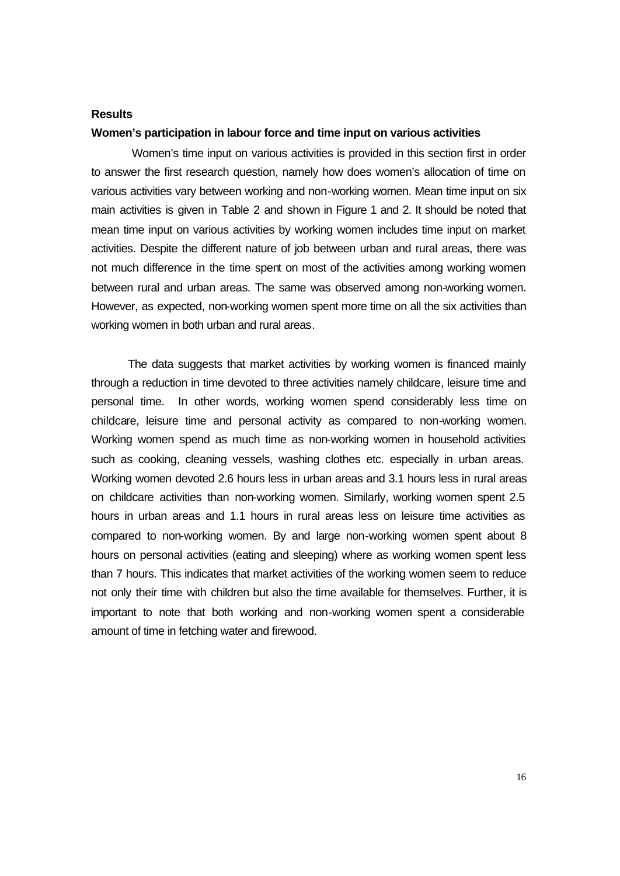### **Results**

## **Women's participation in labour force and time input on various activities**

 Women's time input on various activities is provided in this section first in order to answer the first research question, namely how does women's allocation of time on various activities vary between working and non-working women. Mean time input on six main activities is given in Table 2 and shown in Figure 1 and 2. It should be noted that mean time input on various activities by working women includes time input on market activities. Despite the different nature of job between urban and rural areas, there was not much difference in the time spent on most of the activities among working women between rural and urban areas. The same was observed among non-working women. However, as expected, non-working women spent more time on all the six activities than working women in both urban and rural areas.

The data suggests that market activities by working women is financed mainly through a reduction in time devoted to three activities namely childcare, leisure time and personal time. In other words, working women spend considerably less time on childcare, leisure time and personal activity as compared to non-working women. Working women spend as much time as non-working women in household activities such as cooking, cleaning vessels, washing clothes etc. especially in urban areas. Working women devoted 2.6 hours less in urban areas and 3.1 hours less in rural areas on childcare activities than non-working women. Similarly, working women spent 2.5 hours in urban areas and 1.1 hours in rural areas less on leisure time activities as compared to non-working women. By and large non-working women spent about 8 hours on personal activities (eating and sleeping) where as working women spent less than 7 hours. This indicates that market activities of the working women seem to reduce not only their time with children but also the time available for themselves. Further, it is important to note that both working and non-working women spent a considerable amount of time in fetching water and firewood.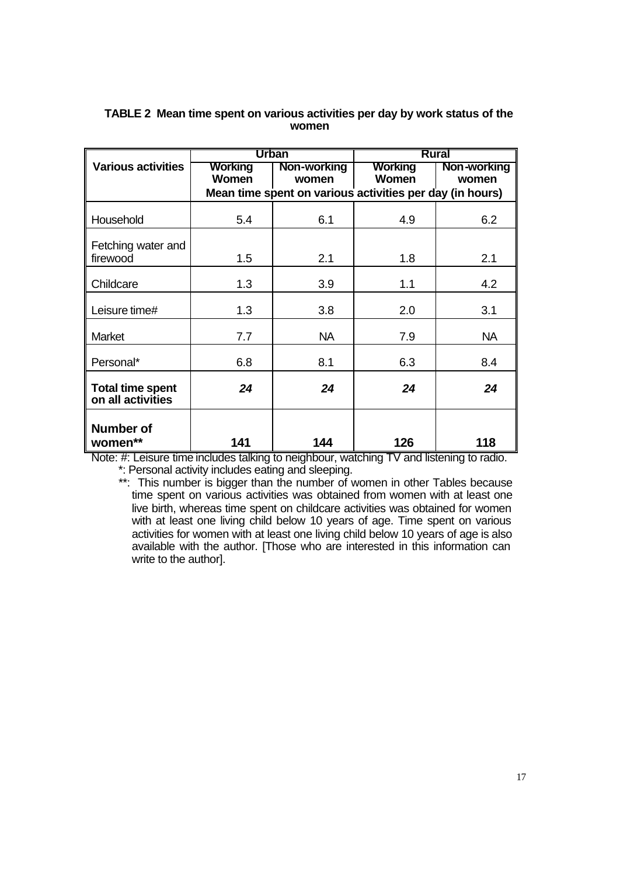|                                                      |                                                          | <b>Urban</b>         | <b>Rural</b>            |                      |  |  |  |
|------------------------------------------------------|----------------------------------------------------------|----------------------|-------------------------|----------------------|--|--|--|
| <b>Various activities</b><br><b>Working</b><br>Women |                                                          | Non-working<br>women | Working<br><b>Women</b> | Non-working<br>women |  |  |  |
|                                                      | Mean time spent on various activities per day (in hours) |                      |                         |                      |  |  |  |
| Household                                            | 5.4                                                      | 6.1                  | 4.9                     | 6.2                  |  |  |  |
| Fetching water and<br>firewood                       | 1.5                                                      | 2.1                  | 1.8                     | 2.1                  |  |  |  |
| Childcare                                            | 1.3                                                      | 3.9                  | 1.1                     | 4.2                  |  |  |  |
| Leisure time#                                        | 1.3                                                      | 3.8                  | 2.0                     | 3.1                  |  |  |  |
| Market                                               | 7.7                                                      | <b>NA</b>            | 7.9                     | <b>NA</b>            |  |  |  |
| Personal*                                            | 6.8                                                      | 8.1                  | 6.3                     | 8.4                  |  |  |  |
| <b>Total time spent</b><br>on all activities         | 24                                                       | 24                   | 24                      | 24                   |  |  |  |
| <b>Number of</b><br>women**                          | 141                                                      | 144                  | 126                     | 118                  |  |  |  |

## **TABLE 2 Mean time spent on various activities per day by work status of the women**

Note: #: Leisure time includes talking to neighbour, watching TV and listening to radio. \*: Personal activity includes eating and sleeping.

\*\*: This number is bigger than the number of women in other Tables because time spent on various activities was obtained from women with at least one live birth, whereas time spent on childcare activities was obtained for women with at least one living child below 10 years of age. Time spent on various activities for women with at least one living child below 10 years of age is also available with the author. [Those who are interested in this information can write to the author].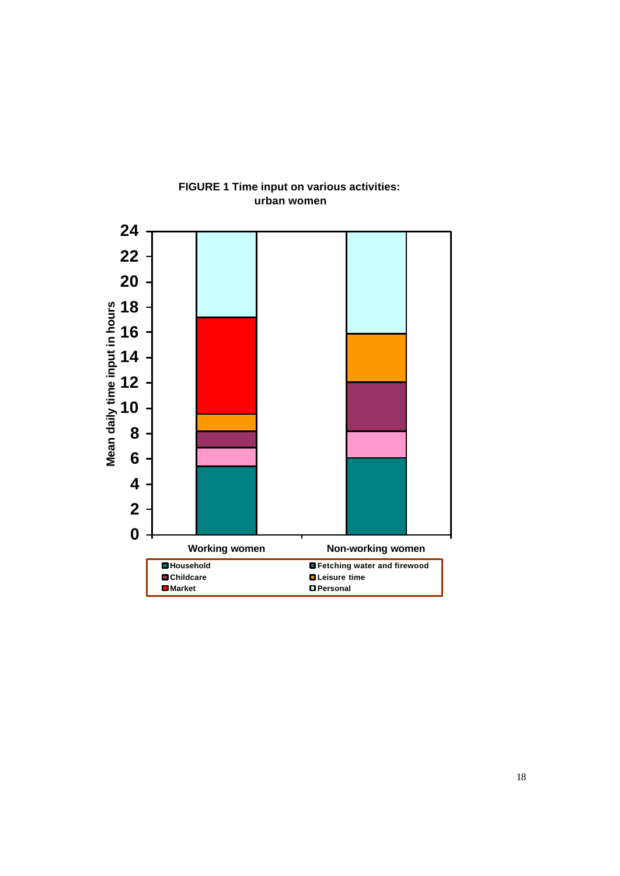

## **FIGURE 1 Time input on various activities: urban women**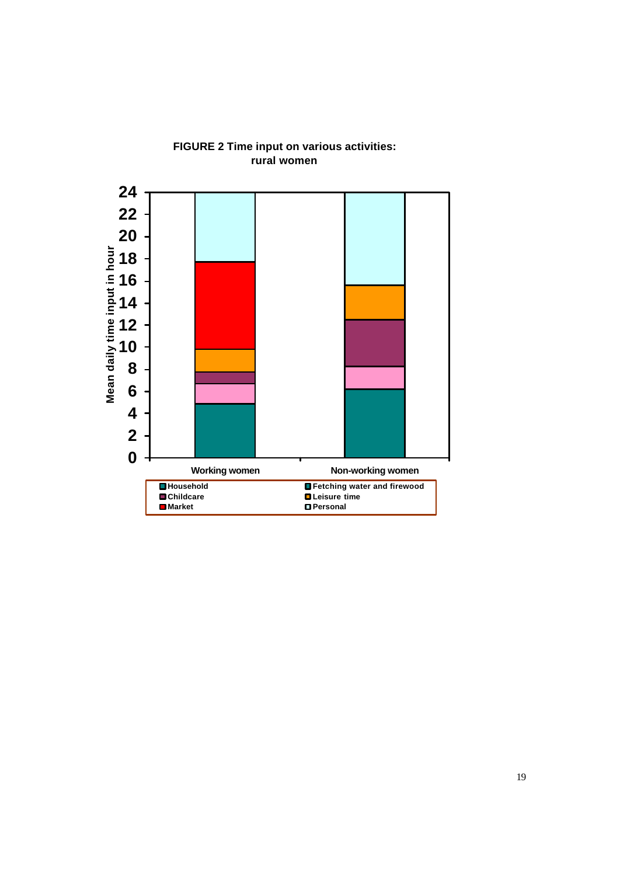

# **FIGURE 2 Time input on various activities: rural women**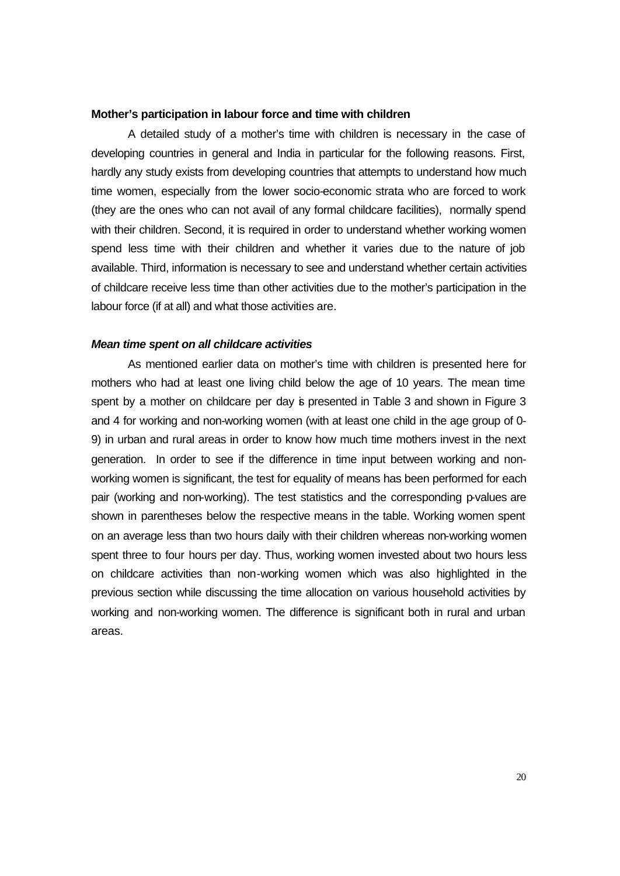## **Mother's participation in labour force and time with children**

A detailed study of a mother's time with children is necessary in the case of developing countries in general and India in particular for the following reasons. First, hardly any study exists from developing countries that attempts to understand how much time women, especially from the lower socio-economic strata who are forced to work (they are the ones who can not avail of any formal childcare facilities), normally spend with their children. Second, it is required in order to understand whether working women spend less time with their children and whether it varies due to the nature of job available. Third, information is necessary to see and understand whether certain activities of childcare receive less time than other activities due to the mother's participation in the labour force (if at all) and what those activities are.

#### *Mean time spent on all childcare activities*

As mentioned earlier data on mother's time with children is presented here for mothers who had at least one living child below the age of 10 years. The mean time spent by a mother on childcare per day is presented in Table 3 and shown in Figure 3 and 4 for working and non-working women (with at least one child in the age group of 0- 9) in urban and rural areas in order to know how much time mothers invest in the next generation.In order to see if the difference in time input between working and nonworking women is significant, the test for equality of means has been performed for each pair (working and non-working). The test statistics and the corresponding p-values are shown in parentheses below the respective means in the table. Working women spent on an average less than two hours daily with their children whereas non-working women spent three to four hours per day. Thus, working women invested about two hours less on childcare activities than non-working women which was also highlighted in the previous section while discussing the time allocation on various household activities by working and non-working women. The difference is significant both in rural and urban areas.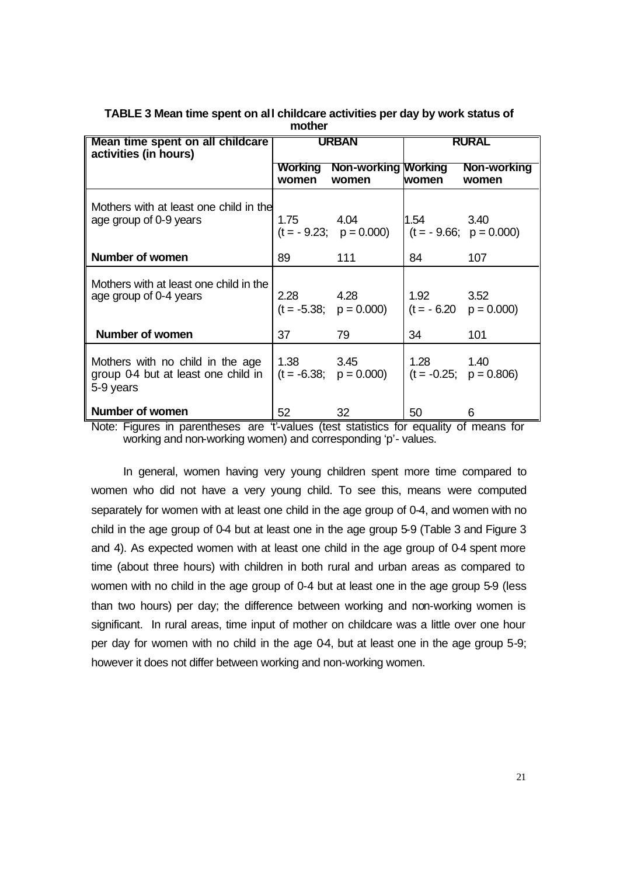| Mean time spent on all childcare<br>activities (in hours)                            | <b>URBAN</b>     |                                     | RURAL |                                       |  |
|--------------------------------------------------------------------------------------|------------------|-------------------------------------|-------|---------------------------------------|--|
|                                                                                      | Working<br>women | <b>Non-working Working</b><br>women | women | Non-working<br>women                  |  |
| Mothers with at least one child in the<br>age group of 0-9 years                     | 1.75             | 4.04<br>$(t = -9.23; p = 0.000)$    | 1.54  | 3.40<br>$(t = -9.66; p = 0.000)$      |  |
| Number of women                                                                      | 89               | 111                                 | 84    | 107                                   |  |
| Mothers with at least one child in the<br>age group of 0-4 years                     | 2.28             | 4.28<br>$(t = -5.38; p = 0.000)$    | 1.92  | 3.52<br>$(t = -6.20 \quad p = 0.000)$ |  |
| Number of women                                                                      | 37               | 79                                  | 34    | 101                                   |  |
| Mothers with no child in the age<br>group 0-4 but at least one child in<br>5-9 years | 1.38             | 3.45<br>$(t = -6.38; p = 0.000)$    | 1.28  | 1.40<br>$(t = -0.25; p = 0.806)$      |  |
| <b>Number of women</b>                                                               | 52               | 32                                  | 50    | 6                                     |  |

## **TABLE 3 Mean time spent on all childcare activities per day by work status of mother**

Note: Figures in parentheses are 't'-values (test statistics for equality of means for working and non-working women) and corresponding 'p'- values.

In general, women having very young children spent more time compared to women who did not have a very young child. To see this, means were computed separately for women with at least one child in the age group of 0-4, and women with no child in the age group of 0-4 but at least one in the age group 5-9 (Table 3 and Figure 3 and 4). As expected women with at least one child in the age group of 0-4 spent more time (about three hours) with children in both rural and urban areas as compared to women with no child in the age group of 0-4 but at least one in the age group 5-9 (less than two hours) per day; the difference between working and non-working women is significant. In rural areas, time input of mother on childcare was a little over one hour per day for women with no child in the age 0-4, but at least one in the age group 5-9; however it does not differ between working and non-working women.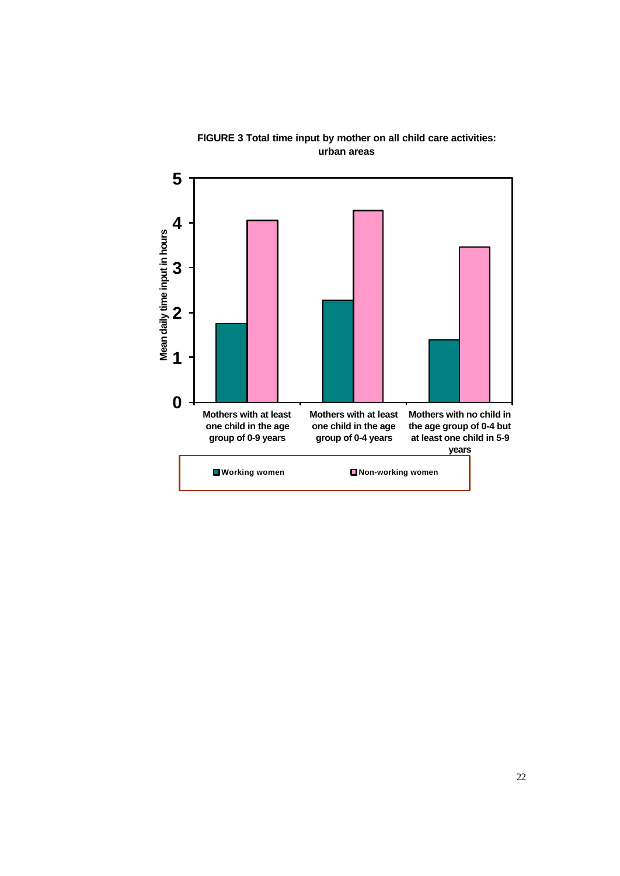

**FIGURE 3 Total time input by mother on all child care activities: urban areas**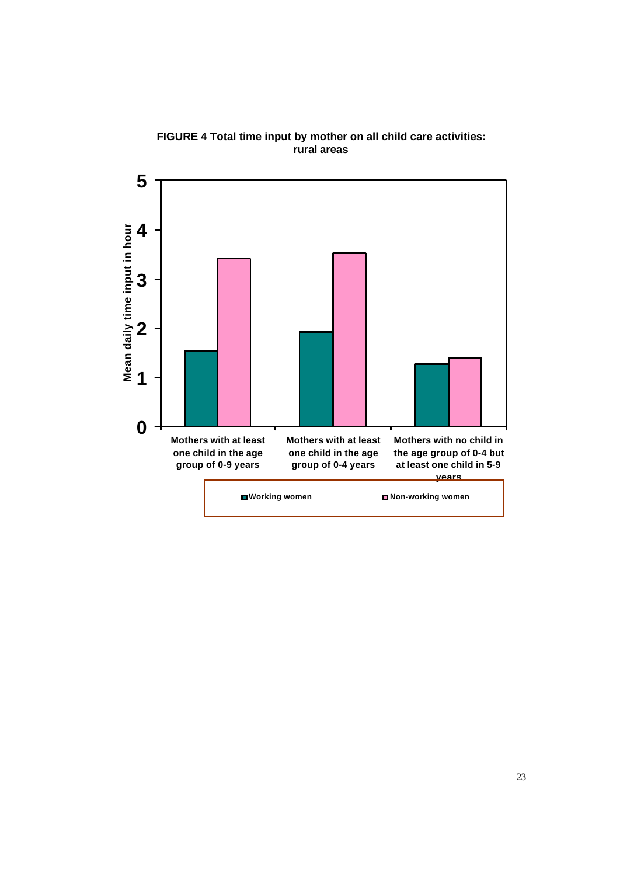

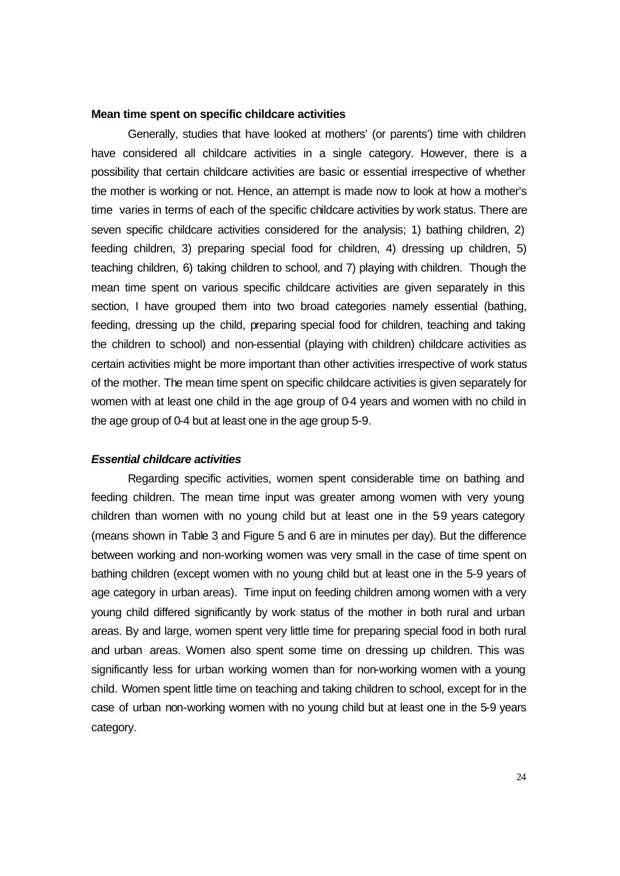## **Mean time spent on specific childcare activities**

Generally, studies that have looked at mothers' (or parents') time with children have considered all childcare activities in a single category. However, there is a possibility that certain childcare activities are basic or essential irrespective of whether the mother is working or not. Hence, an attempt is made now to look at how a mother's time varies in terms of each of the specific childcare activities by work status. There are seven specific childcare activities considered for the analysis; 1) bathing children, 2) feeding children, 3) preparing special food for children, 4) dressing up children, 5) teaching children, 6) taking children to school, and 7) playing with children. Though the mean time spent on various specific childcare activities are given separately in this section, I have grouped them into two broad categories namely essential (bathing, feeding, dressing up the child, preparing special food for children, teaching and taking the children to school) and non-essential (playing with children) childcare activities as certain activities might be more important than other activities irrespective of work status of the mother. The mean time spent on specific childcare activities is given separately for women with at least one child in the age group of 0-4 years and women with no child in the age group of 0-4 but at least one in the age group 5-9.

### *Essential childcare activities*

Regarding specific activities, women spent considerable time on bathing and feeding children. The mean time input was greater among women with very young children than women with no young child but at least one in the 59 years category (means shown in Table 3 and Figure 5 and 6 are in minutes per day). But the difference between working and non-working women was very small in the case of time spent on bathing children (except women with no young child but at least one in the 5-9 years of age category in urban areas). Time input on feeding children among women with a very young child differed significantly by work status of the mother in both rural and urban areas. By and large, women spent very little time for preparing special food in both rural and urban areas. Women also spent some time on dressing up children. This was significantly less for urban working women than for non-working women with a young child. Women spent little time on teaching and taking children to school, except for in the case of urban non-working women with no young child but at least one in the 5-9 years category.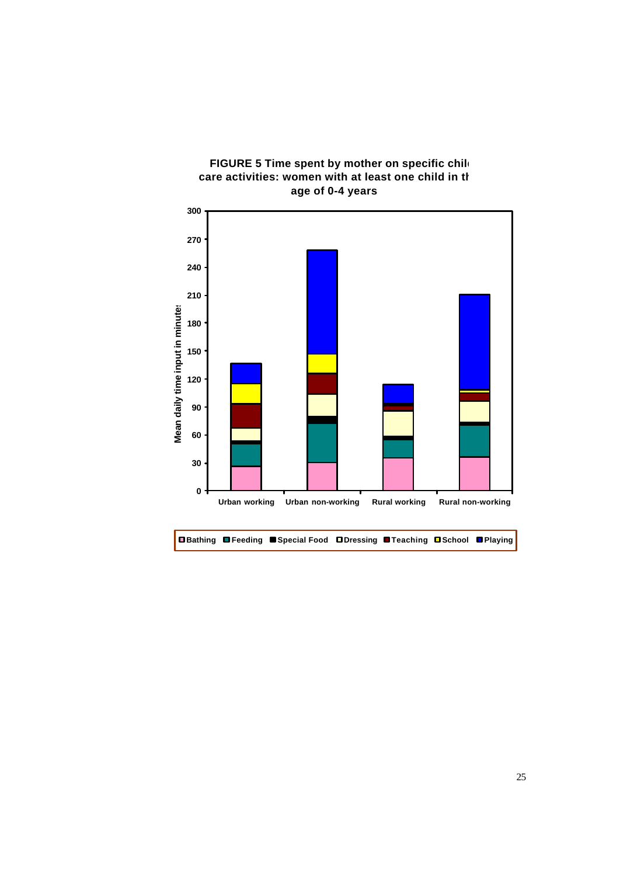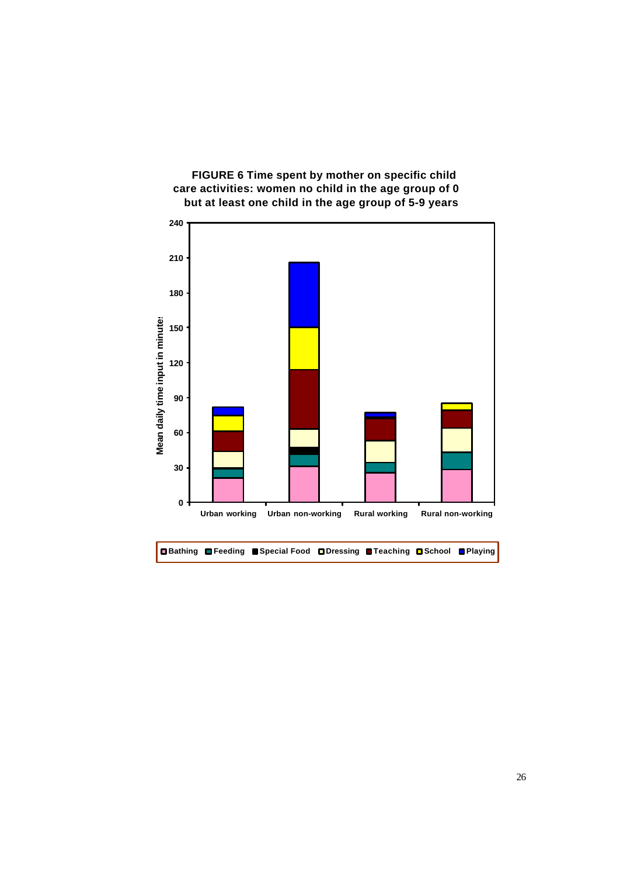

## **FIGURE 6 Time spent by mother on specific child**  care activities: women no child in the age group of 0 **but at least one child in the age group of 5-9 years**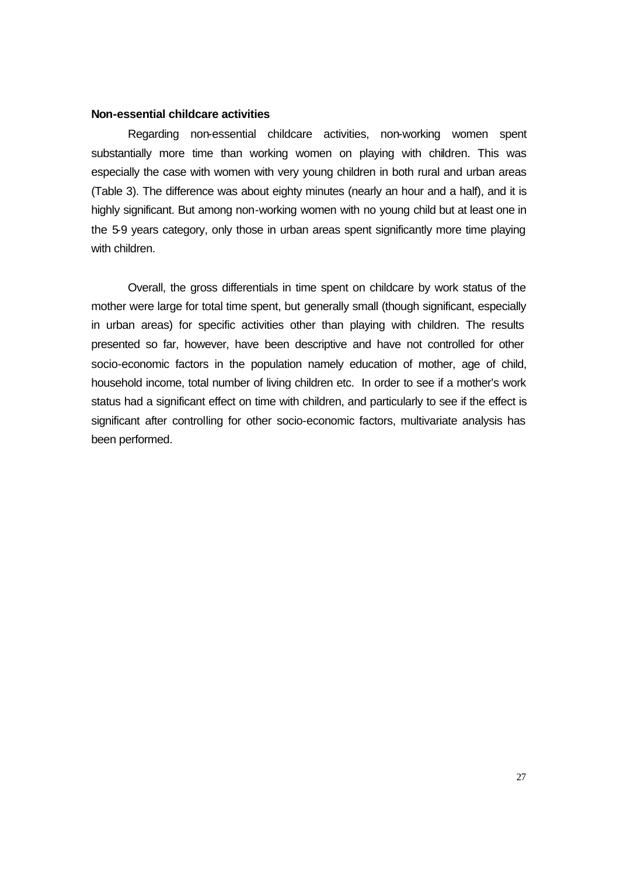### **Non-essential childcare activities**

Regarding non-essential childcare activities, non-working women spent substantially more time than working women on playing with children. This was especially the case with women with very young children in both rural and urban areas (Table 3). The difference was about eighty minutes (nearly an hour and a half), and it is highly significant. But among non-working women with no young child but at least one in the 5-9 years category, only those in urban areas spent significantly more time playing with children.

Overall, the gross differentials in time spent on childcare by work status of the mother were large for total time spent, but generally small (though significant, especially in urban areas) for specific activities other than playing with children. The results presented so far, however, have been descriptive and have not controlled for other socio-economic factors in the population namely education of mother, age of child, household income, total number of living children etc. In order to see if a mother's work status had a significant effect on time with children, and particularly to see if the effect is significant after controlling for other socio-economic factors, multivariate analysis has been performed.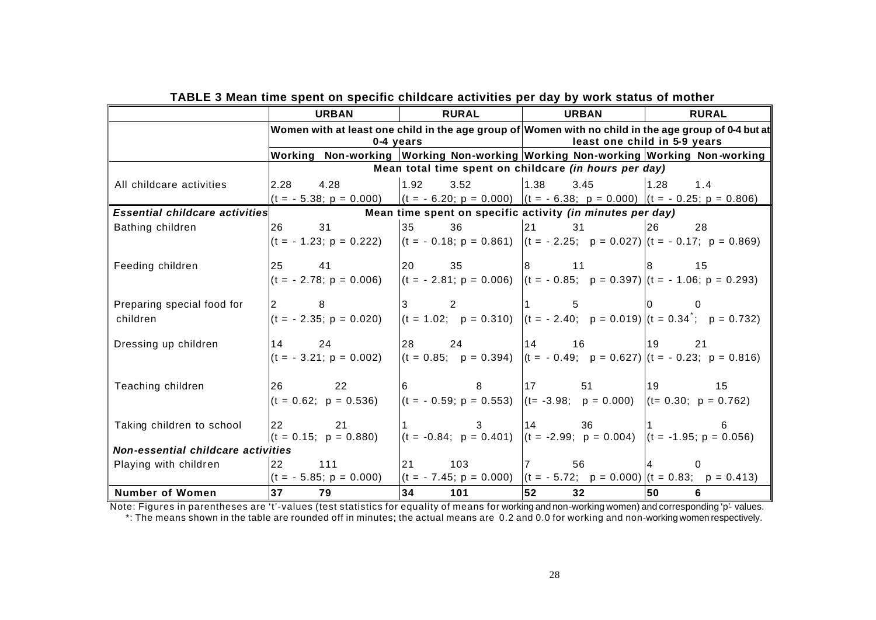|                                       | <b>URBAN</b>                                                                                        | <b>RURAL</b> | <b>URBAN</b>                                                                                                                                  | <b>RURAL</b> |  |  |  |
|---------------------------------------|-----------------------------------------------------------------------------------------------------|--------------|-----------------------------------------------------------------------------------------------------------------------------------------------|--------------|--|--|--|
|                                       |                                                                                                     |              | Women with at least one child in the age group of $ $ Women with no child in the age group of 0-4 but at $\ $<br>least one child in 5-9 years |              |  |  |  |
|                                       | Working Non-working Working Non-working Working Non-working Working Non-working                     | 0-4 years    |                                                                                                                                               |              |  |  |  |
|                                       |                                                                                                     |              | Mean total time spent on childcare (in hours per day)                                                                                         |              |  |  |  |
|                                       |                                                                                                     |              |                                                                                                                                               |              |  |  |  |
| All childcare activities              | $2.28$ 4.28                                                                                         | 1.92<br>3.52 | 1.38<br>3.45                                                                                                                                  | 1.28<br>1.4  |  |  |  |
|                                       | $(t = -5.38; p = 0.000)$ $(t = -6.20; p = 0.000)$ $(t = -6.38; p = 0.000)$ $(t = -0.25; p = 0.806)$ |              |                                                                                                                                               |              |  |  |  |
| <b>Essential childcare activities</b> |                                                                                                     |              | Mean time spent on specific activity (in minutes per day)                                                                                     |              |  |  |  |
| Bathing children                      | 26 30<br>31                                                                                         | 35<br>36     | 21<br>31                                                                                                                                      | 26<br>28     |  |  |  |
|                                       | $(t = -1.23; p = 0.222)$                                                                            |              | $ (t = -0.18; p = 0.861) (t = -2.25; p = 0.027) (t = -0.17; p = 0.869)$                                                                       |              |  |  |  |
| Feeding children                      | 25<br>41                                                                                            | 20<br>35     | 11<br>18                                                                                                                                      | 15<br>18     |  |  |  |
|                                       | $(t = -2.78; p = 0.006)$                                                                            |              | $(t = -2.81; p = 0.006)$ $(t = -0.85; p = 0.397)$ $(t = -1.06; p = 0.293)$                                                                    |              |  |  |  |
| Preparing special food for            | $\overline{2}$<br>8                                                                                 | 2            |                                                                                                                                               |              |  |  |  |
| children                              | $(t = -2.35; p = 0.020)$                                                                            |              | $ (t = 1.02; p = 0.310) (t = -2.40; p = 0.019) (t = 0.34; p = 0.732)$                                                                         |              |  |  |  |
| Dressing up children                  | 14 24                                                                                               | 28<br>24     | 14 16                                                                                                                                         | 19<br>21     |  |  |  |
|                                       | $(t = -3.21; p = 0.002)$                                                                            |              | $(t = 0.85; p = 0.394)$ $(t = -0.49; p = 0.627)$ $(t = -0.23; p = 0.816)$                                                                     |              |  |  |  |
| Teaching children                     | 26<br>$\overline{22}$                                                                               | 8<br>16      | 17<br>51                                                                                                                                      | 19<br>15     |  |  |  |
|                                       | $(t = 0.62; p = 0.536)$                                                                             |              | $(t = -0.59; p = 0.553)$ $(t = -3.98; p = 0.000)$ $(t = 0.30; p = 0.762)$                                                                     |              |  |  |  |
|                                       |                                                                                                     |              |                                                                                                                                               |              |  |  |  |
| Taking children to school             | <b>22</b><br>21                                                                                     |              | 114<br>36                                                                                                                                     |              |  |  |  |
|                                       | $(t = 0.15; p = 0.880)$                                                                             |              | $(t = -0.84; p = 0.401)$ $(t = -2.99; p = 0.004)$ $(t = -1.95; p = 0.056)$                                                                    |              |  |  |  |
|                                       | Non-essential childcare activities                                                                  |              |                                                                                                                                               |              |  |  |  |
| Playing with children                 | 22 111                                                                                              | 21<br>103    | $\overline{7}$<br>56                                                                                                                          | 0            |  |  |  |
|                                       | $(t = -5.85; p = 0.000)$                                                                            |              | $(t = -7.45; p = 0.000)$ $(t = -5.72; p = 0.000)$ $(t = 0.83; p = 0.413)$                                                                     |              |  |  |  |
| <b>Number of Women</b>                | 37<br>79                                                                                            | 34<br>101    | 52<br>32                                                                                                                                      | 50<br>6      |  |  |  |

**TABLE 3 Mean time spent on specific childcare activities per day by work status of mother** 

Note: Figures in parentheses are 't'-values (test statistics for equality of means for working and non-working women) and corresponding 'p'- values. \*: The means shown in the table are rounded off in minutes; the actual means are 0.2 and 0.0 for working and non-working women respectively.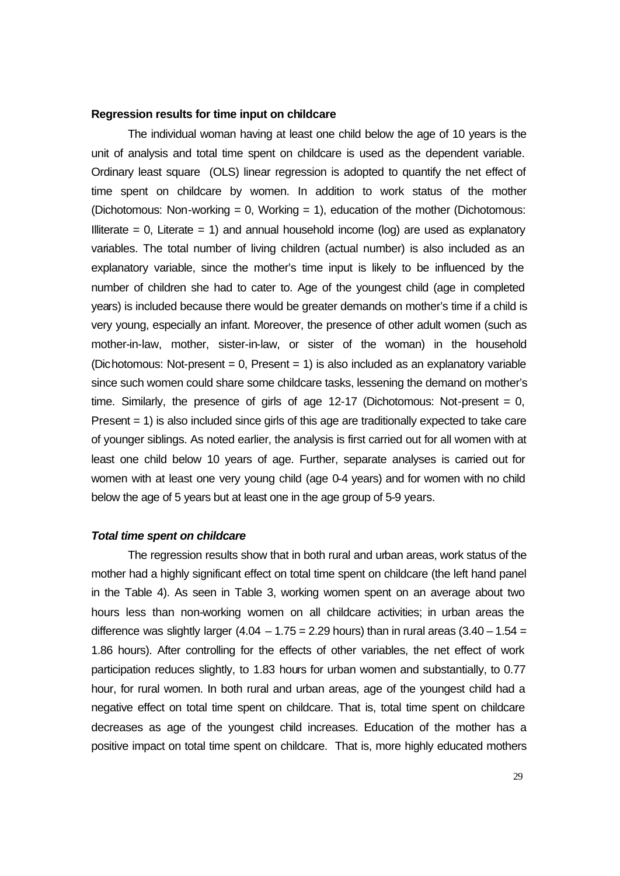#### **Regression results for time input on childcare**

The individual woman having at least one child below the age of 10 years is the unit of analysis and total time spent on childcare is used as the dependent variable. Ordinary least square (OLS) linear regression is adopted to quantify the net effect of time spent on childcare by women. In addition to work status of the mother (Dichotomous: Non-working = 0, Working = 1), education of the mother (Dichotomous: Illiterate  $= 0$ , Literate  $= 1$ ) and annual household income (log) are used as explanatory variables. The total number of living children (actual number) is also included as an explanatory variable, since the mother's time input is likely to be influenced by the number of children she had to cater to. Age of the youngest child (age in completed years) is included because there would be greater demands on mother's time if a child is very young, especially an infant. Moreover, the presence of other adult women (such as mother-in-law, mother, sister-in-law, or sister of the woman) in the household (Dichotomous: Not-present  $= 0$ , Present  $= 1$ ) is also included as an explanatory variable since such women could share some childcare tasks, lessening the demand on mother's time. Similarly, the presence of girls of age 12-17 (Dichotomous: Not-present = 0, Present = 1) is also included since girls of this age are traditionally expected to take care of younger siblings. As noted earlier, the analysis is first carried out for all women with at least one child below 10 years of age. Further, separate analyses is carried out for women with at least one very young child (age 0-4 years) and for women with no child below the age of 5 years but at least one in the age group of 5-9 years.

### *Total time spent on childcare*

The regression results show that in both rural and urban areas, work status of the mother had a highly significant effect on total time spent on childcare (the left hand panel in the Table 4). As seen in Table 3, working women spent on an average about two hours less than non-working women on all childcare activities; in urban areas the difference was slightly larger  $(4.04 - 1.75 = 2.29$  hours) than in rural areas  $(3.40 - 1.54 =$ 1.86 hours). After controlling for the effects of other variables, the net effect of work participation reduces slightly, to 1.83 hours for urban women and substantially, to 0.77 hour, for rural women. In both rural and urban areas, age of the youngest child had a negative effect on total time spent on childcare. That is, total time spent on childcare decreases as age of the youngest child increases. Education of the mother has a positive impact on total time spent on childcare. That is, more highly educated mothers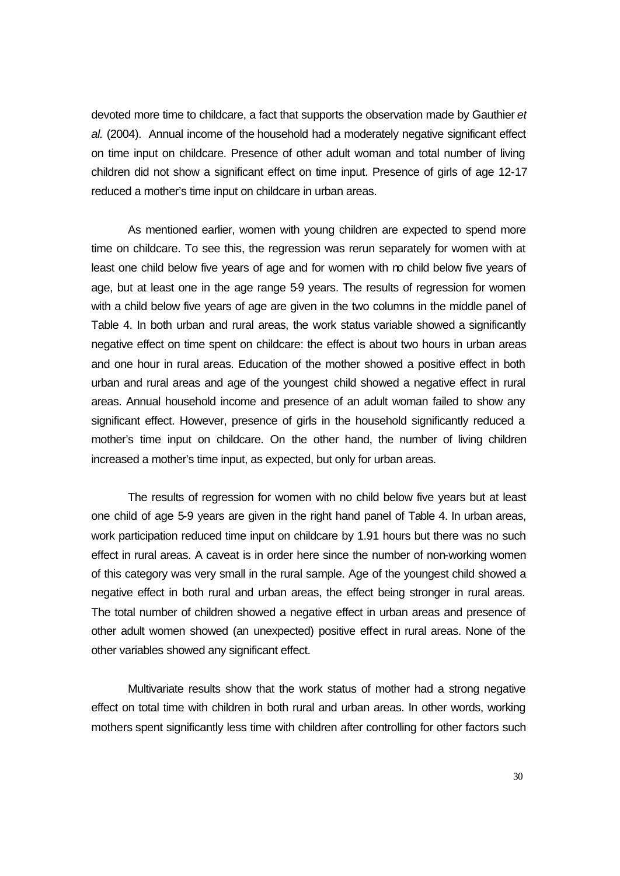devoted more time to childcare, a fact that supports the observation made by Gauthier *et al.* (2004). Annual income of the household had a moderately negative significant effect on time input on childcare. Presence of other adult woman and total number of living children did not show a significant effect on time input. Presence of girls of age 12-17 reduced a mother's time input on childcare in urban areas.

As mentioned earlier, women with young children are expected to spend more time on childcare. To see this, the regression was rerun separately for women with at least one child below five years of age and for women with no child below five years of age, but at least one in the age range 5-9 years. The results of regression for women with a child below five years of age are given in the two columns in the middle panel of Table 4. In both urban and rural areas, the work status variable showed a significantly negative effect on time spent on childcare: the effect is about two hours in urban areas and one hour in rural areas. Education of the mother showed a positive effect in both urban and rural areas and age of the youngest child showed a negative effect in rural areas. Annual household income and presence of an adult woman failed to show any significant effect. However, presence of girls in the household significantly reduced a mother's time input on childcare. On the other hand, the number of living children increased a mother's time input, as expected, but only for urban areas.

The results of regression for women with no child below five years but at least one child of age 5-9 years are given in the right hand panel of Table 4. In urban areas, work participation reduced time input on childcare by 1.91 hours but there was no such effect in rural areas. A caveat is in order here since the number of non-working women of this category was very small in the rural sample. Age of the youngest child showed a negative effect in both rural and urban areas, the effect being stronger in rural areas. The total number of children showed a negative effect in urban areas and presence of other adult women showed (an unexpected) positive effect in rural areas. None of the other variables showed any significant effect.

Multivariate results show that the work status of mother had a strong negative effect on total time with children in both rural and urban areas. In other words, working mothers spent significantly less time with children after controlling for other factors such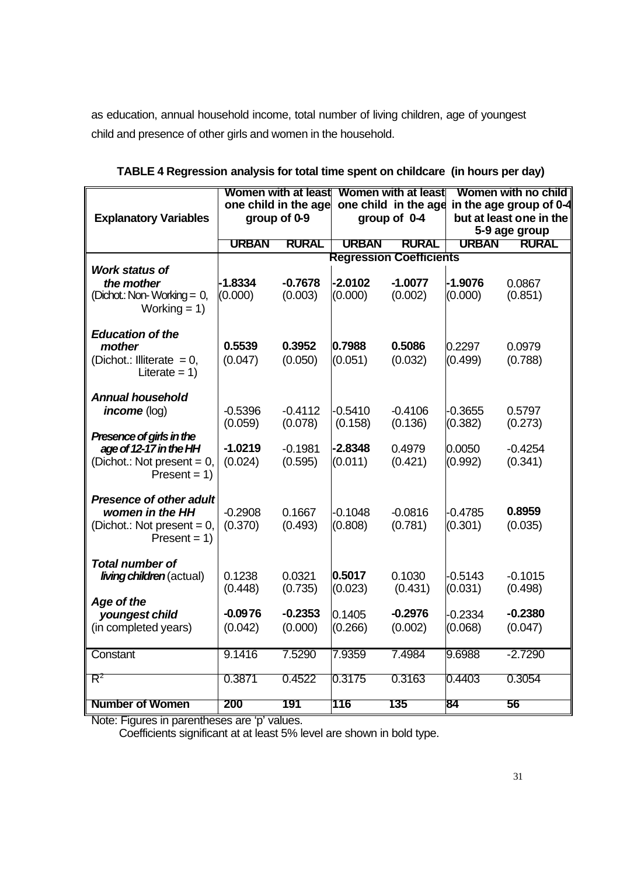as education, annual household income, total number of living children, age of youngest child and presence of other girls and women in the household.

|                                                                                                       |                      | <b>Women with at least</b> |                      | <b>Women with at least</b>     |                                          | Women with no child  |
|-------------------------------------------------------------------------------------------------------|----------------------|----------------------------|----------------------|--------------------------------|------------------------------------------|----------------------|
|                                                                                                       | one child in the age |                            | one child in the age |                                | in the age group of 0-4                  |                      |
| <b>Explanatory Variables</b>                                                                          | group of 0-9         |                            | group of 0-4         |                                | but at least one in the<br>5-9 age group |                      |
|                                                                                                       | <b>URBAN</b>         | <b>RURAL</b>               | <b>URBAN</b>         | <b>RURAL</b>                   | <b>URBAN</b>                             | <b>RURAL</b>         |
|                                                                                                       |                      |                            |                      | <b>Regression Coefficients</b> |                                          |                      |
| Work status of<br>the mother<br>(Dichot.: Non-Working = 0,<br>Working $= 1$ )                         | $-1.8334$<br>(0.000) | $-0.7678$<br>(0.003)       | $-2.0102$<br>(0.000) | $-1.0077$<br>(0.002)           | $-1.9076$<br>(0.000)                     | 0.0867<br>(0.851)    |
| <b>Education of the</b><br>mother<br>(Dichot.: Illiterate = $0$ ,<br>Literate = $1)$                  | 0.5539<br>(0.047)    | 0.3952<br>(0.050)          | 0.7988<br>(0.051)    | 0.5086<br>(0.032)              | 0.2297<br>(0.499)                        | 0.0979<br>(0.788)    |
| <b>Annual household</b><br>income (log)                                                               | $-0.5396$<br>(0.059) | $-0.4112$<br>(0.078)       | $-0.5410$<br>(0.158) | $-0.4106$<br>(0.136)           | $-0.3655$<br>(0.382)                     | 0.5797<br>(0.273)    |
| Presence of girls in the<br>age of 12-17 in the HH<br>(Dichot.: Not present = $0$ ,<br>$Present = 1)$ | $-1.0219$<br>(0.024) | $-0.1981$<br>(0.595)       | $-2.8348$<br>(0.011) | 0.4979<br>(0.421)              | 0.0050<br>(0.992)                        | $-0.4254$<br>(0.341) |
| <b>Presence of other adult</b><br>women in the HH<br>(Dichot.: Not present = $0$ ,<br>$Present = 1)$  | $-0.2908$<br>(0.370) | 0.1667<br>(0.493)          | $-0.1048$<br>(0.808) | $-0.0816$<br>(0.781)           | $-0.4785$<br>(0.301)                     | 0.8959<br>(0.035)    |
| <b>Total number of</b><br><i>living children</i> (actual)<br>Age of the                               | 0.1238<br>(0.448)    | 0.0321<br>(0.735)          | 0.5017<br>(0.023)    | 0.1030<br>(0.431)              | $-0.5143$<br>(0.031)                     | $-0.1015$<br>(0.498) |
| youngest child<br>(in completed years)                                                                | $-0.0976$<br>(0.042) | $-0.2353$<br>(0.000)       | 0.1405<br>(0.266)    | $-0.2976$<br>(0.002)           | $-0.2334$<br>(0.068)                     | $-0.2380$<br>(0.047) |
| Constant                                                                                              | 9.1416               | 7.5290                     | 7.9359               | 7.4984                         | 9.6988                                   | $-2.7290$            |
| $R^2$                                                                                                 | 0.3871               | 0.4522                     | 0.3175               | 0.3163                         | 0.4403                                   | 0.3054               |
| <b>Number of Women</b>                                                                                | 200                  | 191                        | 116                  | 135                            | 84                                       | 56                   |

**TABLE 4 Regression analysis for total time spent on childcare (in hours per day)**

Note: Figures in parentheses are 'p' values.

Coefficients significant at at least 5% level are shown in bold type.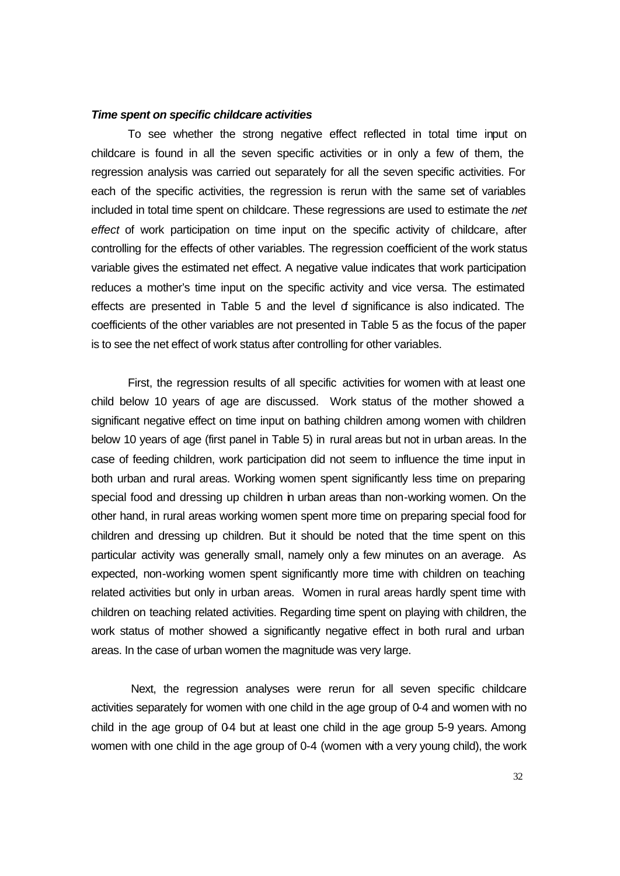### *Time spent on specific childcare activities*

To see whether the strong negative effect reflected in total time input on childcare is found in all the seven specific activities or in only a few of them, the regression analysis was carried out separately for all the seven specific activities. For each of the specific activities, the regression is rerun with the same set of variables included in total time spent on childcare. These regressions are used to estimate the *net effect* of work participation on time input on the specific activity of childcare, after controlling for the effects of other variables. The regression coefficient of the work status variable gives the estimated net effect. A negative value indicates that work participation reduces a mother's time input on the specific activity and vice versa. The estimated effects are presented in Table 5 and the level of significance is also indicated. The coefficients of the other variables are not presented in Table 5 as the focus of the paper is to see the net effect of work status after controlling for other variables.

First, the regression results of all specific activities for women with at least one child below 10 years of age are discussed. Work status of the mother showed a significant negative effect on time input on bathing children among women with children below 10 years of age (first panel in Table 5) in rural areas but not in urban areas. In the case of feeding children, work participation did not seem to influence the time input in both urban and rural areas. Working women spent significantly less time on preparing special food and dressing up children in urban areas than non-working women. On the other hand, in rural areas working women spent more time on preparing special food for children and dressing up children. But it should be noted that the time spent on this particular activity was generally small, namely only a few minutes on an average. As expected, non-working women spent significantly more time with children on teaching related activities but only in urban areas. Women in rural areas hardly spent time with children on teaching related activities. Regarding time spent on playing with children, the work status of mother showed a significantly negative effect in both rural and urban areas. In the case of urban women the magnitude was very large.

 Next, the regression analyses were rerun for all seven specific childcare activities separately for women with one child in the age group of 0-4 and women with no child in the age group of  $0.4$  but at least one child in the age group  $5-9$  years. Among women with one child in the age group of 0-4 (women with a very young child), the work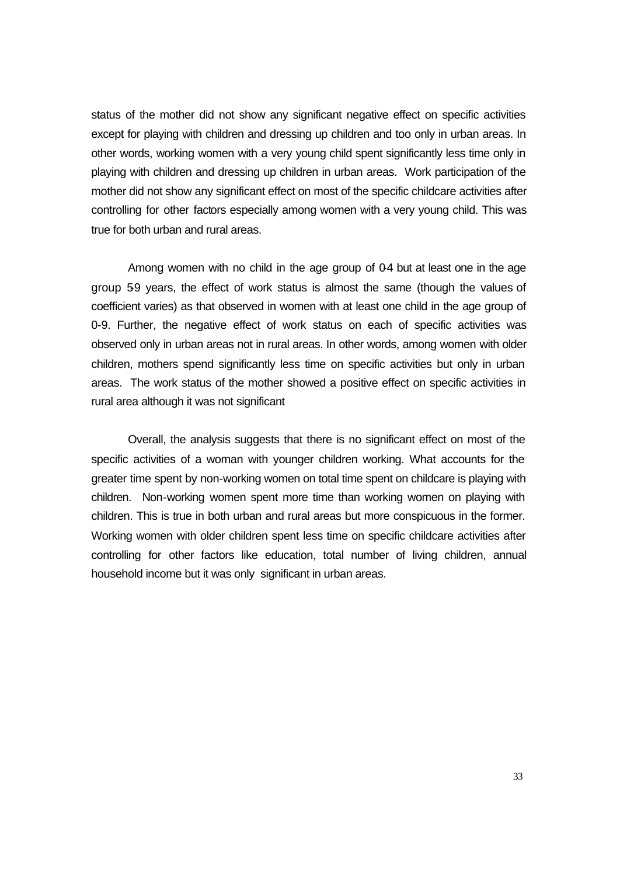status of the mother did not show any significant negative effect on specific activities except for playing with children and dressing up children and too only in urban areas. In other words, working women with a very young child spent significantly less time only in playing with children and dressing up children in urban areas. Work participation of the mother did not show any significant effect on most of the specific childcare activities after controlling for other factors especially among women with a very young child. This was true for both urban and rural areas.

Among women with no child in the age group of  $0.4$  but at least one in the age group 59 years, the effect of work status is almost the same (though the values of coefficient varies) as that observed in women with at least one child in the age group of 0-9. Further, the negative effect of work status on each of specific activities was observed only in urban areas not in rural areas. In other words, among women with older children, mothers spend significantly less time on specific activities but only in urban areas. The work status of the mother showed a positive effect on specific activities in rural area although it was not significant

Overall, the analysis suggests that there is no significant effect on most of the specific activities of a woman with younger children working. What accounts for the greater time spent by non-working women on total time spent on childcare is playing with children. Non-working women spent more time than working women on playing with children. This is true in both urban and rural areas but more conspicuous in the former. Working women with older children spent less time on specific childcare activities after controlling for other factors like education, total number of living children, annual household income but it was only significant in urban areas.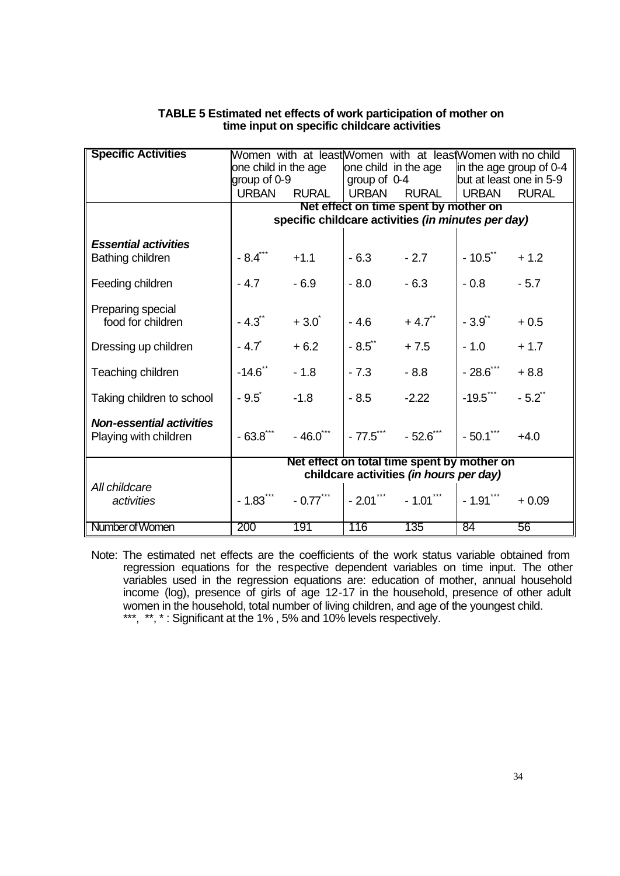| <b>Specific Activities</b>                               |                                             |              |                           | Women with at least Women with at leas Women with no child |                         |                      |
|----------------------------------------------------------|---------------------------------------------|--------------|---------------------------|------------------------------------------------------------|-------------------------|----------------------|
|                                                          | one child in the age                        |              | one child in the age      |                                                            | in the age group of 0-4 |                      |
|                                                          | group of 0-9                                |              | group of $0-4$            |                                                            | but at least one in 5-9 |                      |
|                                                          | <b>URBAN</b>                                | <b>RURAL</b> | <b>URBAN</b>              | <b>RURAL</b>                                               | <b>URBAN</b>            | <b>RURAL</b>         |
|                                                          | Net effect on time spent by mother on       |              |                           |                                                            |                         |                      |
|                                                          |                                             |              |                           | specific childcare activities (in minutes per day)         |                         |                      |
| <b>Essential activities</b>                              |                                             |              |                           |                                                            |                         |                      |
| Bathing children                                         | $-8.4$ ***                                  | $+1.1$       | $-6.3$                    | $-2.7$                                                     | $-10.5$                 | $+1.2$               |
| Feeding children                                         | $-4.7$                                      | $-6.9$       | $-8.0$                    | $-6.3$                                                     | $-0.8$                  | $-5.7$               |
| Preparing special<br>food for children                   | $-4.3$                                      | $+3.0^{*}$   | $-4.6$                    | $+4.7$ <sup>**</sup>                                       | $-3.9^{4}$              | $+0.5$               |
| Dressing up children                                     | $-4.7$                                      | $+6.2$       | $-8.5$ *                  | $+7.5$                                                     | $-1.0$                  | $+1.7$               |
| Teaching children                                        | $-14.6$ **                                  | $-1.8$       | $-7.3$                    | $-8.8$                                                     | $-28.6$ ***             | $+8.8$               |
| Taking children to school                                | $-9.5^{\degree}$                            | $-1.8$       | $-8.5$                    | $-2.22$                                                    | $-19.5$ ***             | $-5.2$ <sup>**</sup> |
| <b>Non-essential activities</b><br>Playing with children | $-63.8$ $*$                                 | $-46.0$ ***  | $-77.5$ $-52.6$ $-$       |                                                            | $-50.1***$              | $+4.0$               |
|                                                          | Net effect on total time spent by mother on |              |                           |                                                            |                         |                      |
|                                                          | childcare activities (in hours per day)     |              |                           |                                                            |                         |                      |
| All childcare<br>activities                              | $-1.83$ <sup>***</sup>                      | $-0.77$ ***  | $-2.01$ $+ 1.01$ $+ 1.01$ |                                                            | $-1.91$ $**$            | $+0.09$              |
| Number of Women                                          | 200                                         | 191          | 116                       | 135                                                        | 84                      | 56                   |

## **TABLE 5 Estimated net effects of work participation of mother on time input on specific childcare activities**

Note: The estimated net effects are the coefficients of the work status variable obtained from regression equations for the respective dependent variables on time input. The other variables used in the regression equations are: education of mother, annual household income (log), presence of girls of age 12-17 in the household, presence of other adult women in the household, total number of living children, and age of the youngest child. \*\*\*, \*\*, \*: Significant at the 1%, 5% and 10% levels respectively.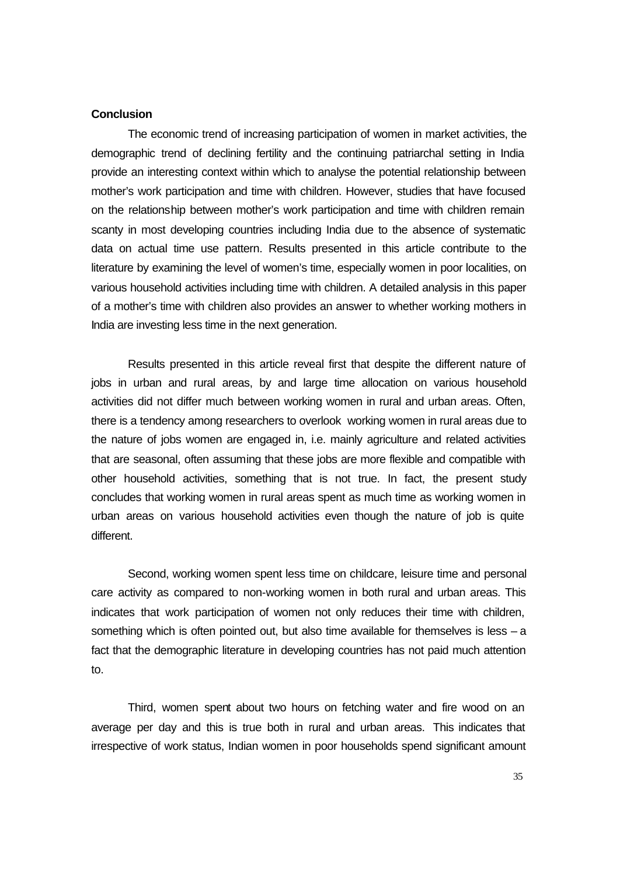## **Conclusion**

The economic trend of increasing participation of women in market activities, the demographic trend of declining fertility and the continuing patriarchal setting in India provide an interesting context within which to analyse the potential relationship between mother's work participation and time with children. However, studies that have focused on the relationship between mother's work participation and time with children remain scanty in most developing countries including India due to the absence of systematic data on actual time use pattern. Results presented in this article contribute to the literature by examining the level of women's time, especially women in poor localities, on various household activities including time with children. A detailed analysis in this paper of a mother's time with children also provides an answer to whether working mothers in India are investing less time in the next generation.

Results presented in this article reveal first that despite the different nature of jobs in urban and rural areas, by and large time allocation on various household activities did not differ much between working women in rural and urban areas. Often, there is a tendency among researchers to overlook working women in rural areas due to the nature of jobs women are engaged in, i.e. mainly agriculture and related activities that are seasonal, often assuming that these jobs are more flexible and compatible with other household activities, something that is not true. In fact, the present study concludes that working women in rural areas spent as much time as working women in urban areas on various household activities even though the nature of job is quite different.

Second, working women spent less time on childcare, leisure time and personal care activity as compared to non-working women in both rural and urban areas. This indicates that work participation of women not only reduces their time with children, something which is often pointed out, but also time available for themselves is less – a fact that the demographic literature in developing countries has not paid much attention to.

Third, women spent about two hours on fetching water and fire wood on an average per day and this is true both in rural and urban areas. This indicates that irrespective of work status, Indian women in poor households spend significant amount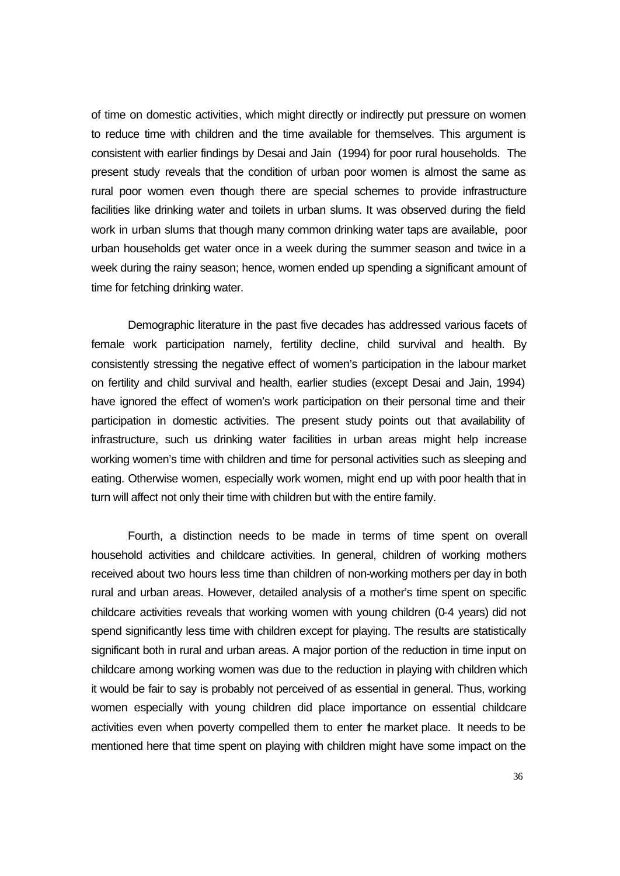of time on domestic activities, which might directly or indirectly put pressure on women to reduce time with children and the time available for themselves. This argument is consistent with earlier findings by Desai and Jain (1994) for poor rural households. The present study reveals that the condition of urban poor women is almost the same as rural poor women even though there are special schemes to provide infrastructure facilities like drinking water and toilets in urban slums. It was observed during the field work in urban slums that though many common drinking water taps are available, poor urban households get water once in a week during the summer season and twice in a week during the rainy season; hence, women ended up spending a significant amount of time for fetching drinking water.

Demographic literature in the past five decades has addressed various facets of female work participation namely, fertility decline, child survival and health. By consistently stressing the negative effect of women's participation in the labour market on fertility and child survival and health, earlier studies (except Desai and Jain, 1994) have ignored the effect of women's work participation on their personal time and their participation in domestic activities. The present study points out that availability of infrastructure, such us drinking water facilities in urban areas might help increase working women's time with children and time for personal activities such as sleeping and eating. Otherwise women, especially work women, might end up with poor health that in turn will affect not only their time with children but with the entire family.

Fourth, a distinction needs to be made in terms of time spent on overall household activities and childcare activities. In general, children of working mothers received about two hours less time than children of non-working mothers per day in both rural and urban areas. However, detailed analysis of a mother's time spent on specific childcare activities reveals that working women with young children (0-4 years) did not spend significantly less time with children except for playing. The results are statistically significant both in rural and urban areas. A major portion of the reduction in time input on childcare among working women was due to the reduction in playing with children which it would be fair to say is probably not perceived of as essential in general. Thus, working women especially with young children did place importance on essential childcare activities even when poverty compelled them to enter the market place. It needs to be mentioned here that time spent on playing with children might have some impact on the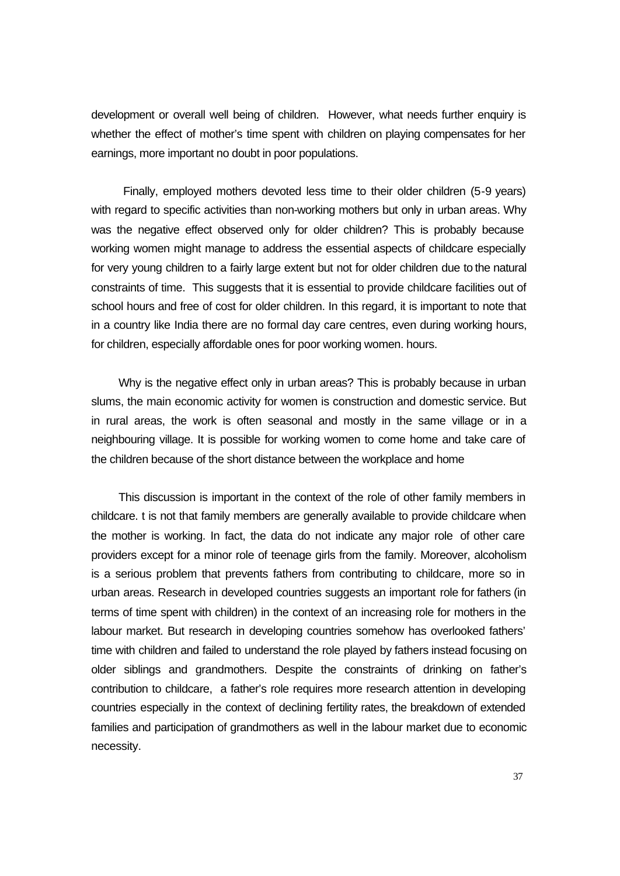development or overall well being of children. However, what needs further enquiry is whether the effect of mother's time spent with children on playing compensates for her earnings, more important no doubt in poor populations.

Finally, employed mothers devoted less time to their older children (5-9 years) with regard to specific activities than non-working mothers but only in urban areas. Why was the negative effect observed only for older children? This is probably because working women might manage to address the essential aspects of childcare especially for very young children to a fairly large extent but not for older children due to the natural constraints of time. This suggests that it is essential to provide childcare facilities out of school hours and free of cost for older children. In this regard, it is important to note that in a country like India there are no formal day care centres, even during working hours, for children, especially affordable ones for poor working women. hours.

Why is the negative effect only in urban areas? This is probably because in urban slums, the main economic activity for women is construction and domestic service. But in rural areas, the work is often seasonal and mostly in the same village or in a neighbouring village. It is possible for working women to come home and take care of the children because of the short distance between the workplace and home

This discussion is important in the context of the role of other family members in childcare. t is not that family members are generally available to provide childcare when the mother is working. In fact, the data do not indicate any major role of other care providers except for a minor role of teenage girls from the family. Moreover, alcoholism is a serious problem that prevents fathers from contributing to childcare, more so in urban areas. Research in developed countries suggests an important role for fathers (in terms of time spent with children) in the context of an increasing role for mothers in the labour market. But research in developing countries somehow has overlooked fathers' time with children and failed to understand the role played by fathers instead focusing on older siblings and grandmothers. Despite the constraints of drinking on father's contribution to childcare, a father's role requires more research attention in developing countries especially in the context of declining fertility rates, the breakdown of extended families and participation of grandmothers as well in the labour market due to economic necessity.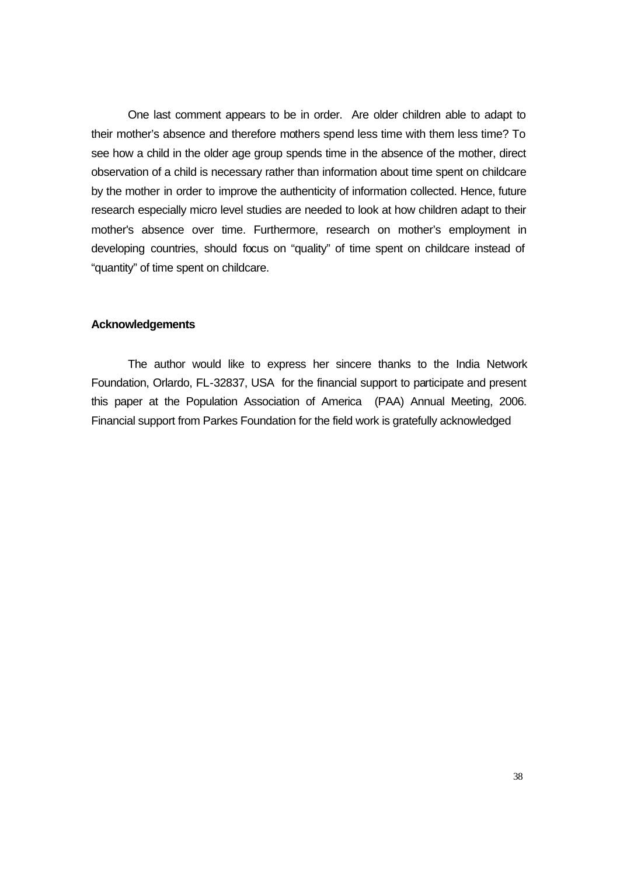One last comment appears to be in order. Are older children able to adapt to their mother's absence and therefore mothers spend less time with them less time? To see how a child in the older age group spends time in the absence of the mother, direct observation of a child is necessary rather than information about time spent on childcare by the mother in order to improve the authenticity of information collected. Hence, future research especially micro level studies are needed to look at how children adapt to their mother's absence over time. Furthermore, research on mother's employment in developing countries, should focus on "quality" of time spent on childcare instead of "quantity" of time spent on childcare.

## **Acknowledgements**

The author would like to express her sincere thanks to the India Network Foundation, Orlardo, FL-32837, USA for the financial support to participate and present this paper at the Population Association of America (PAA) Annual Meeting, 2006. Financial support from Parkes Foundation for the field work is gratefully acknowledged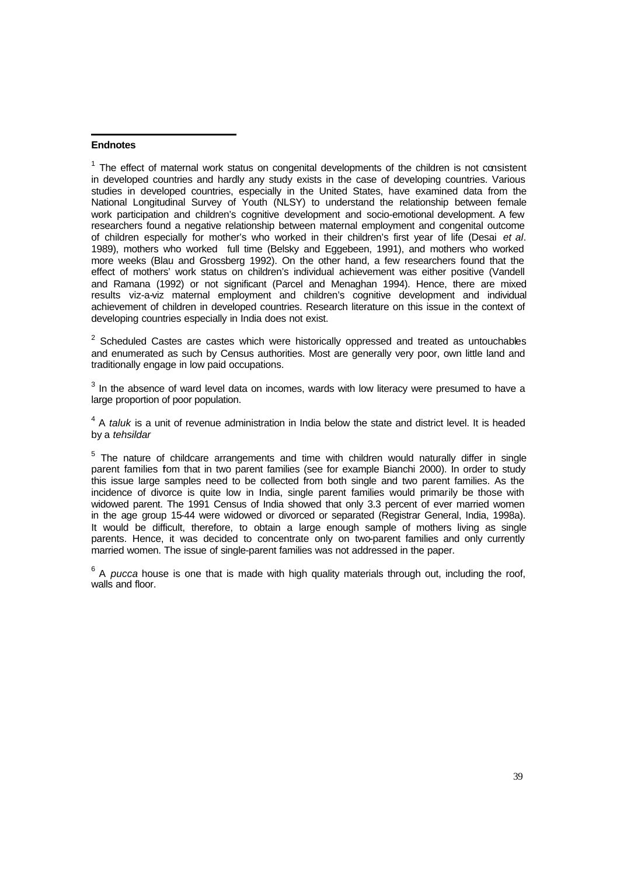#### **Endnotes**

l

 $1$  The effect of maternal work status on congenital developments of the children is not consistent in developed countries and hardly any study exists in the case of developing countries. Various studies in developed countries, especially in the United States, have examined data from the National Longitudinal Survey of Youth (NLSY) to understand the relationship between female work participation and children's cognitive development and socio-emotional development. A few researchers found a negative relationship between maternal employment and congenital outcome of children especially for mother's who worked in their children's first year of life (Desai *et al*. 1989), mothers who worked full time (Belsky and Eggebeen, 1991), and mothers who worked more weeks (Blau and Grossberg 1992). On the other hand, a few researchers found that the effect of mothers' work status on children's individual achievement was either positive (Vandell and Ramana (1992) or not significant (Parcel and Menaghan 1994). Hence, there are mixed results viz-a-viz maternal employment and children's cognitive development and individual achievement of children in developed countries. Research literature on this issue in the context of developing countries especially in India does not exist.

 $2$  Scheduled Castes are castes which were historically oppressed and treated as untouchables and enumerated as such by Census authorities. Most are generally very poor, own little land and traditionally engage in low paid occupations.

 $3$  In the absence of ward level data on incomes, wards with low literacy were presumed to have a large proportion of poor population.

<sup>4</sup> A *taluk* is a unit of revenue administration in India below the state and district level. It is headed by a *tehsildar*

 $5$  The nature of childcare arrangements and time with children would naturally differ in single parent families fom that in two parent families (see for example Bianchi 2000). In order to study this issue large samples need to be collected from both single and two parent families. As the incidence of divorce is quite low in India, single parent families would primarily be those with widowed parent. The 1991 Census of India showed that only 3.3 percent of ever married women in the age group 15-44 were widowed or divorced or separated (Registrar General, India, 1998a). It would be difficult, therefore, to obtain a large enough sample of mothers living as single parents. Hence, it was decided to concentrate only on two-parent families and only currently married women. The issue of single-parent families was not addressed in the paper.

<sup>6</sup> A *pucca* house is one that is made with high quality materials through out, including the roof, walls and floor.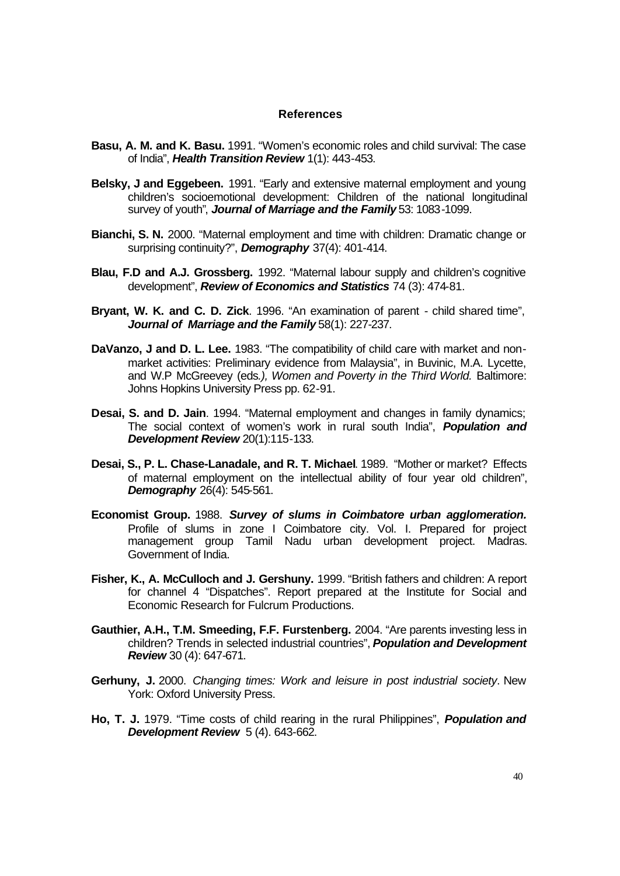## **References**

- **Basu, A. M. and K. Basu.** 1991. "Women's economic roles and child survival: The case of India", *Health Transition Review* 1(1): 443-453.
- **Belsky, J and Eggebeen.** 1991. "Early and extensive maternal employment and young children's socioemotional development: Children of the national longitudinal survey of youth", *Journal of Marriage and the Family* 53: 1083-1099.
- **Bianchi, S. N.** 2000. "Maternal employment and time with children: Dramatic change or surprising continuity?", *Demography* 37(4): 401-414.
- **Blau, F.D and A.J. Grossberg.** 1992. "Maternal labour supply and children's cognitive development", *Review of Economics and Statistics* 74 (3): 474-81.
- **Bryant, W. K. and C. D. Zick**. 1996. "An examination of parent child shared time", *Journal of Marriage and the Family* 58(1): 227-237.
- **DaVanzo, J and D. L. Lee.** 1983. "The compatibility of child care with market and nonmarket activities: Preliminary evidence from Malaysia", in Buvinic, M.A. Lycette, and W.P McGreevey (eds*.), Women and Poverty in the Third World.* Baltimore: Johns Hopkins University Press pp. 62-91.
- **Desai, S. and D. Jain**. 1994. "Maternal employment and changes in family dynamics; The social context of women's work in rural south India", *Population and Development Review* 20(1):115-133.
- **Desai, S., P. L. Chase-Lanadale, and R. T. Michael**. 1989. "Mother or market? Effects of maternal employment on the intellectual ability of four year old children", *Demography* 26(4): 545-561.
- **Economist Group.** 1988. *Survey of slums in Coimbatore urban agglomeration.* Profile of slums in zone I Coimbatore city. Vol. I. Prepared for project management group Tamil Nadu urban development project. Madras. Government of India.
- **Fisher, K., A. McCulloch and J. Gershuny.** 1999. "British fathers and children: A report for channel 4 "Dispatches". Report prepared at the Institute for Social and Economic Research for Fulcrum Productions.
- **Gauthier, A.H., T.M. Smeeding, F.F. Furstenberg.** 2004. "Are parents investing less in children? Trends in selected industrial countries", *Population and Development Review* 30 (4): 647-671.
- **Gerhuny, J.** 2000. *Changing times: Work and leisure in post industrial society*. New York: Oxford University Press.
- **Ho, T. J.** 1979. "Time costs of child rearing in the rural Philippines", *Population and Development Review* 5 (4). 643-662.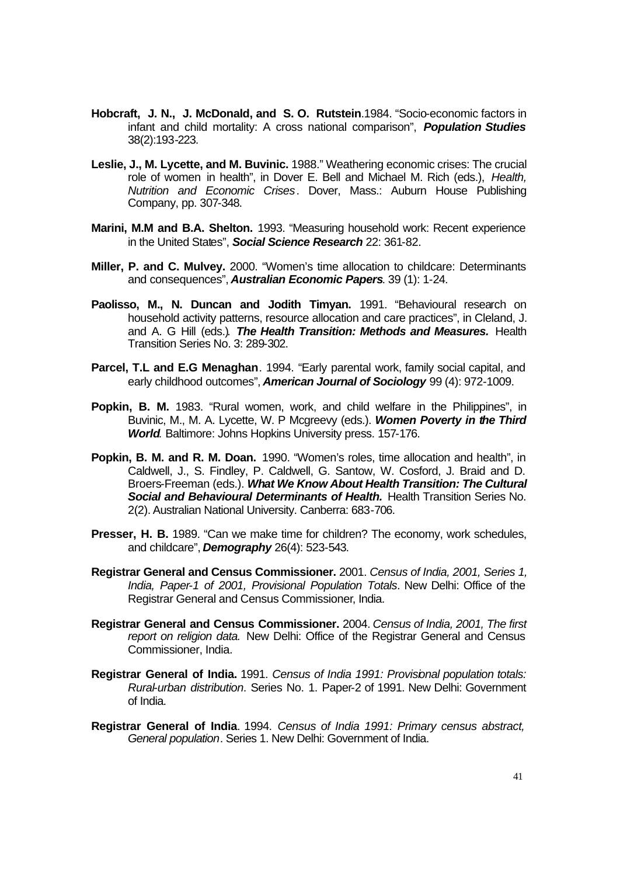- **Hobcraft, J. N., J. McDonald, and S. O. Rutstein**.1984. "Socio-economic factors in infant and child mortality: A cross national comparison", *Population Studies*  38(2):193-223.
- **Leslie, J., M. Lycette, and M. Buvinic.** 1988." Weathering economic crises: The crucial role of women in health", in Dover E. Bell and Michael M. Rich (eds.), *Health, Nutrition and Economic Crises*. Dover, Mass.: Auburn House Publishing Company, pp. 307-348.
- **Marini, M.M and B.A. Shelton.** 1993. "Measuring household work: Recent experience in the United States", *Social Science Research* 22: 361-82.
- **Miller, P. and C. Mulvey.** 2000. "Women's time allocation to childcare: Determinants and consequences", *Australian Economic Papers*. 39 (1): 1-24.
- **Paolisso, M., N. Duncan and Jodith Timyan.** 1991. "Behavioural research on household activity patterns, resource allocation and care practices", in Cleland, J. and A. G Hill (eds.)*. The Health Transition: Methods and Measures.* Health Transition Series No. 3: 289-302.
- **Parcel, T.L and E.G Menaghan**. 1994. "Early parental work, family social capital, and early childhood outcomes". **American Journal of Sociology** 99 (4): 972-1009.
- **Popkin, B. M.** 1983. "Rural women, work, and child welfare in the Philippines", in Buvinic, M., M. A. Lycette, W. P Mcgreevy (eds.). *Women Poverty in the Third World.* Baltimore: Johns Hopkins University press. 157-176.
- **Popkin, B. M. and R. M. Doan.** 1990. "Women's roles, time allocation and health", in Caldwell, J., S. Findley, P. Caldwell, G. Santow, W. Cosford, J. Braid and D. Broers-Freeman (eds.). *What We Know About Health Transition: The Cultural Social and Behavioural Determinants of Health.* Health Transition Series No. 2(2). Australian National University. Canberra: 683-706.
- **Presser, H. B.** 1989. "Can we make time for children? The economy, work schedules, and childcare", *Demography* 26(4): 523-543.
- **Registrar General and Census Commissioner.** 2001. *Census of India, 2001, Series 1, India, Paper-1 of 2001, Provisional Population Totals*. New Delhi: Office of the Registrar General and Census Commissioner, India.
- **Registrar General and Census Commissioner.** 2004. *Census of India, 2001, The first report on religion data.* New Delhi: Office of the Registrar General and Census Commissioner, India.
- **Registrar General of India.** 1991. *Census of India 1991: Provisional population totals: Rural-urban distribution*. Series No. 1. Paper-2 of 1991. New Delhi: Government of India.
- **Registrar General of India**. 1994. *Census of India 1991: Primary census abstract, General population*. Series 1. New Delhi: Government of India.